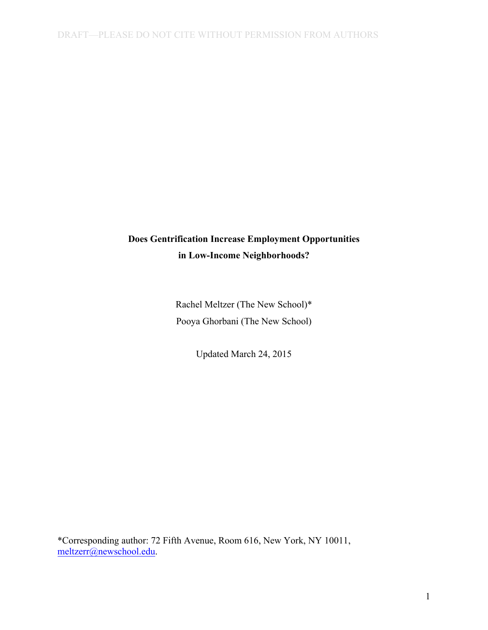# **Does Gentrification Increase Employment Opportunities in Low-Income Neighborhoods?**

Rachel Meltzer (The New School)\* Pooya Ghorbani (The New School)

Updated March 24, 2015

\*Corresponding author: 72 Fifth Avenue, Room 616, New York, NY 10011, meltzerr@newschool.edu.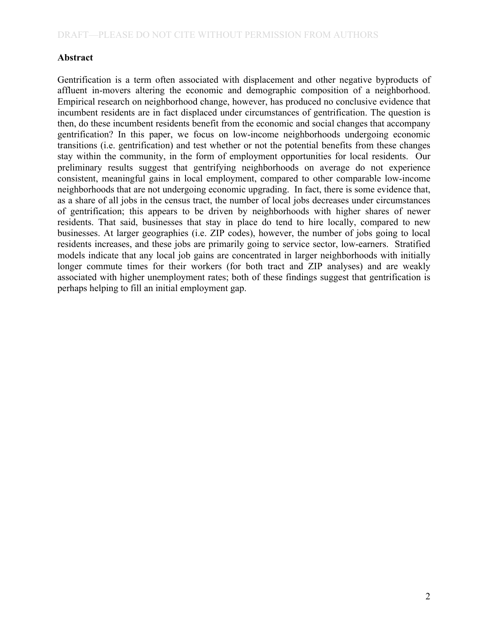# **Abstract**

 Gentrification is a term often associated with displacement and other negative byproducts of affluent in-movers altering the economic and demographic composition of a neighborhood. Empirical research on neighborhood change, however, has produced no conclusive evidence that incumbent residents are in fact displaced under circumstances of gentrification. The question is then, do these incumbent residents benefit from the economic and social changes that accompany gentrification? In this paper, we focus on low-income neighborhoods undergoing economic transitions (i.e. gentrification) and test whether or not the potential benefits from these changes stay within the community, in the form of employment opportunities for local residents. Our preliminary results suggest that gentrifying neighborhoods on average do not experience consistent, meaningful gains in local employment, compared to other comparable low-income neighborhoods that are not undergoing economic upgrading. In fact, there is some evidence that, as a share of all jobs in the census tract, the number of local jobs decreases under circumstances of gentrification; this appears to be driven by neighborhoods with higher shares of newer residents. That said, businesses that stay in place do tend to hire locally, compared to new businesses. At larger geographies (i.e. ZIP codes), however, the number of jobs going to local residents increases, and these jobs are primarily going to service sector, low-earners. Stratified models indicate that any local job gains are concentrated in larger neighborhoods with initially longer commute times for their workers (for both tract and ZIP analyses) and are weakly associated with higher unemployment rates; both of these findings suggest that gentrification is perhaps helping to fill an initial employment gap.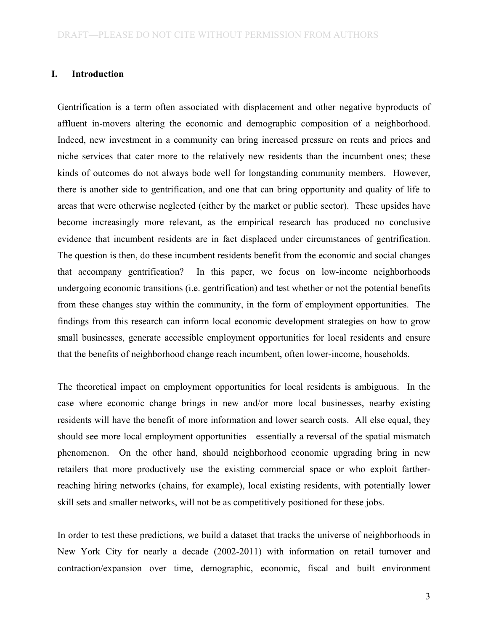#### **I. Introduction**

 Gentrification is a term often associated with displacement and other negative byproducts of affluent in-movers altering the economic and demographic composition of a neighborhood. Indeed, new investment in a community can bring increased pressure on rents and prices and niche services that cater more to the relatively new residents than the incumbent ones; these kinds of outcomes do not always bode well for longstanding community members. However, there is another side to gentrification, and one that can bring opportunity and quality of life to areas that were otherwise neglected (either by the market or public sector). These upsides have become increasingly more relevant, as the empirical research has produced no conclusive evidence that incumbent residents are in fact displaced under circumstances of gentrification. The question is then, do these incumbent residents benefit from the economic and social changes that accompany gentrification? undergoing economic transitions (i.e. gentrification) and test whether or not the potential benefits from these changes stay within the community, in the form of employment opportunities. The findings from this research can inform local economic development strategies on how to grow small businesses, generate accessible employment opportunities for local residents and ensure In this paper, we focus on low-income neighborhoods that the benefits of neighborhood change reach incumbent, often lower-income, households.

 The theoretical impact on employment opportunities for local residents is ambiguous. In the case where economic change brings in new and/or more local businesses, nearby existing residents will have the benefit of more information and lower search costs. All else equal, they should see more local employment opportunities—essentially a reversal of the spatial mismatch phenomenon. On the other hand, should neighborhood economic upgrading bring in new retailers that more productively use the existing commercial space or who exploit fartherreaching hiring networks (chains, for example), local existing residents, with potentially lower skill sets and smaller networks, will not be as competitively positioned for these jobs.

 In order to test these predictions, we build a dataset that tracks the universe of neighborhoods in New York City for nearly a decade (2002-2011) with information on retail turnover and contraction/expansion over time, demographic, economic, fiscal and built environment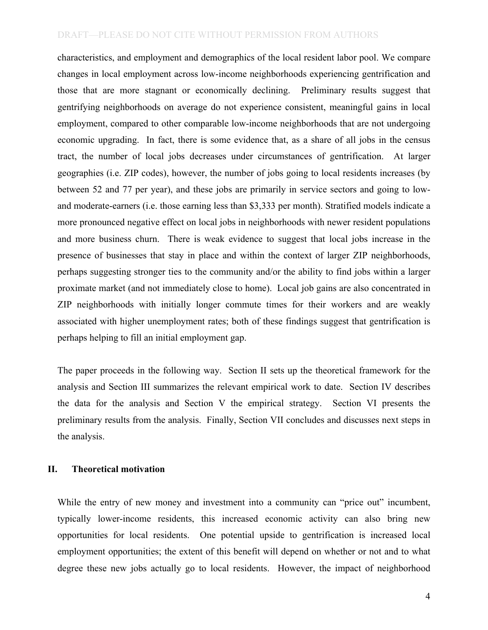characteristics, and employment and demographics of the local resident labor pool. We compare changes in local employment across low-income neighborhoods experiencing gentrification and those that are more stagnant or economically declining. Preliminary results suggest that gentrifying neighborhoods on average do not experience consistent, meaningful gains in local employment, compared to other comparable low-income neighborhoods that are not undergoing economic upgrading. In fact, there is some evidence that, as a share of all jobs in the census tract, the number of local jobs decreases under circumstances of gentrification. At larger geographies (i.e. ZIP codes), however, the number of jobs going to local residents increases (by between 52 and 77 per year), and these jobs are primarily in service sectors and going to low- and moderate-earners (i.e. those earning less than \$3,333 per month). Stratified models indicate a more pronounced negative effect on local jobs in neighborhoods with newer resident populations and more business churn. There is weak evidence to suggest that local jobs increase in the presence of businesses that stay in place and within the context of larger ZIP neighborhoods, perhaps suggesting stronger ties to the community and/or the ability to find jobs within a larger proximate market (and not immediately close to home). Local job gains are also concentrated in ZIP neighborhoods with initially longer commute times for their workers and are weakly associated with higher unemployment rates; both of these findings suggest that gentrification is perhaps helping to fill an initial employment gap.

 The paper proceeds in the following way. Section II sets up the theoretical framework for the analysis and Section III summarizes the relevant empirical work to date. Section IV describes the data for the analysis and Section V the empirical strategy. Section VI presents the preliminary results from the analysis. Finally, Section VII concludes and discusses next steps in the analysis.

## **II. Theoretical motivation**

While the entry of new money and investment into a community can "price out" incumbent, opportunities for local residents. One potential upside to gentrification is increased local employment opportunities; the extent of this benefit will depend on whether or not and to what degree these new jobs actually go to local residents. However, the impact of neighborhood typically lower-income residents, this increased economic activity can also bring new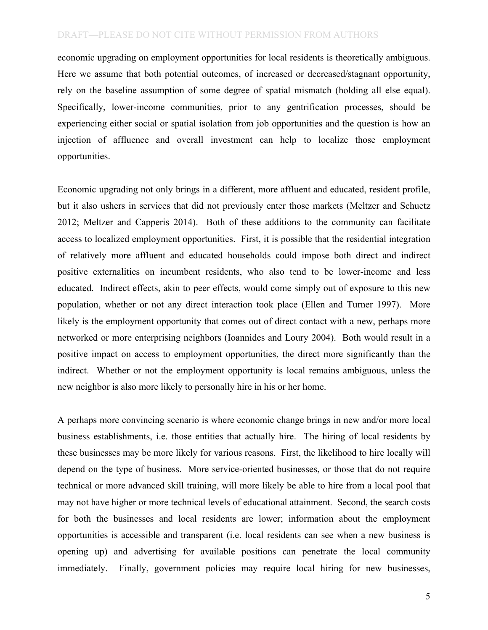economic upgrading on employment opportunities for local residents is theoretically ambiguous. Here we assume that both potential outcomes, of increased or decreased/stagnant opportunity, rely on the baseline assumption of some degree of spatial mismatch (holding all else equal). experiencing either social or spatial isolation from job opportunities and the question is how an injection of affluence and overall investment can help to localize those employment Specifically, lower-income communities, prior to any gentrification processes, should be opportunities.

 Economic upgrading not only brings in a different, more affluent and educated, resident profile, but it also ushers in services that did not previously enter those markets (Meltzer and Schuetz 2012; Meltzer and Capperis 2014). Both of these additions to the community can facilitate access to localized employment opportunities. First, it is possible that the residential integration of relatively more affluent and educated households could impose both direct and indirect positive externalities on incumbent residents, who also tend to be lower-income and less educated. Indirect effects, akin to peer effects, would come simply out of exposure to this new population, whether or not any direct interaction took place (Ellen and Turner 1997). More likely is the employment opportunity that comes out of direct contact with a new, perhaps more networked or more enterprising neighbors (Ioannides and Loury 2004). Both would result in a positive impact on access to employment opportunities, the direct more significantly than the indirect. Whether or not the employment opportunity is local remains ambiguous, unless the new neighbor is also more likely to personally hire in his or her home.

 A perhaps more convincing scenario is where economic change brings in new and/or more local business establishments, i.e. those entities that actually hire. The hiring of local residents by these businesses may be more likely for various reasons. First, the likelihood to hire locally will depend on the type of business. More service-oriented businesses, or those that do not require technical or more advanced skill training, will more likely be able to hire from a local pool that may not have higher or more technical levels of educational attainment. Second, the search costs for both the businesses and local residents are lower; information about the employment opportunities is accessible and transparent (i.e. local residents can see when a new business is opening up) and advertising for available positions can penetrate the local community immediately. Finally, government policies may require local hiring for new businesses,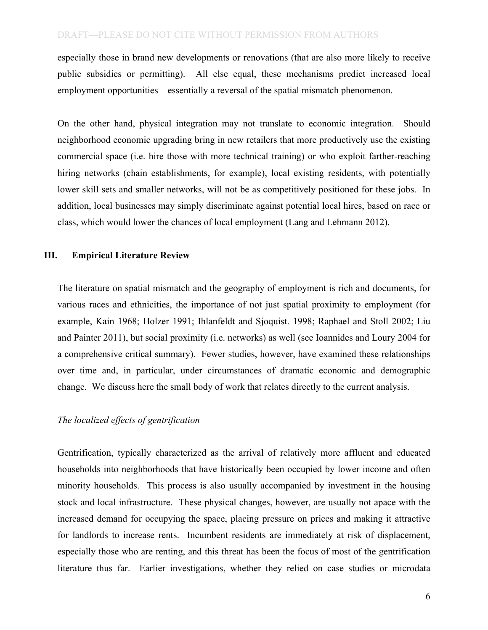especially those in brand new developments or renovations (that are also more likely to receive public subsidies or permitting). All else equal, these mechanisms predict increased local employment opportunities—essentially a reversal of the spatial mismatch phenomenon.

 On the other hand, physical integration may not translate to economic integration. Should neighborhood economic upgrading bring in new retailers that more productively use the existing commercial space (i.e. hire those with more technical training) or who exploit farther-reaching lower skill sets and smaller networks, will not be as competitively positioned for these jobs. In addition, local businesses may simply discriminate against potential local hires, based on race or hiring networks (chain establishments, for example), local existing residents, with potentially class, which would lower the chances of local employment (Lang and Lehmann 2012).

### **III. Empirical Literature Review**

 The literature on spatial mismatch and the geography of employment is rich and documents, for various races and ethnicities, the importance of not just spatial proximity to employment (for example, Kain 1968; Holzer 1991; Ihlanfeldt and Sjoquist. 1998; Raphael and Stoll 2002; Liu and Painter 2011), but social proximity (i.e. networks) as well (see Ioannides and Loury 2004 for a comprehensive critical summary). Fewer studies, however, have examined these relationships over time and, in particular, under circumstances of dramatic economic and demographic change. We discuss here the small body of work that relates directly to the current analysis.

### *The localized effects of gentrification*

 Gentrification, typically characterized as the arrival of relatively more affluent and educated households into neighborhoods that have historically been occupied by lower income and often minority households. This process is also usually accompanied by investment in the housing stock and local infrastructure. These physical changes, however, are usually not apace with the increased demand for occupying the space, placing pressure on prices and making it attractive for landlords to increase rents. Incumbent residents are immediately at risk of displacement, especially those who are renting, and this threat has been the focus of most of the gentrification literature thus far. Earlier investigations, whether they relied on case studies or microdata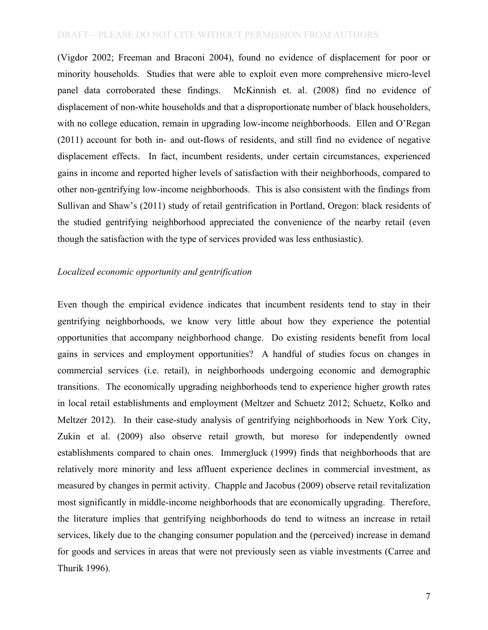(Vigdor 2002; Freeman and Braconi 2004), found no evidence of displacement for poor or minority households. Studies that were able to exploit even more comprehensive micro-level panel data corroborated these findings. McKinnish et. al. (2008) find no evidence of displacement of non-white households and that a disproportionate number of black householders, (2011) account for both in- and out-flows of residents, and still find no evidence of negative displacement effects. In fact, incumbent residents, under certain circumstances, experienced gains in income and reported higher levels of satisfaction with their neighborhoods, compared to other non-gentrifying low-income neighborhoods. This is also consistent with the findings from Sullivan and Shaw's (2011) study of retail gentrification in Portland, Oregon: black residents of the studied gentrifying neighborhood appreciated the convenience of the nearby retail (even with no college education, remain in upgrading low-income neighborhoods. Ellen and O'Regan though the satisfaction with the type of services provided was less enthusiastic).

#### *Localized economic opportunity and gentrification*

 Even though the empirical evidence indicates that incumbent residents tend to stay in their gentrifying neighborhoods, we know very little about how they experience the potential opportunities that accompany neighborhood change. Do existing residents benefit from local gains in services and employment opportunities? A handful of studies focus on changes in commercial services (i.e. retail), in neighborhoods undergoing economic and demographic transitions. The economically upgrading neighborhoods tend to experience higher growth rates in local retail establishments and employment (Meltzer and Schuetz 2012; Schuetz, Kolko and Meltzer 2012). In their case-study analysis of gentrifying neighborhoods in New York City, Zukin et al. (2009) also observe retail growth, but moreso for independently owned establishments compared to chain ones. Immergluck (1999) finds that neighborhoods that are relatively more minority and less affluent experience declines in commercial investment, as measured by changes in permit activity. Chapple and Jacobus (2009) observe retail revitalization most significantly in middle-income neighborhoods that are economically upgrading. Therefore, the literature implies that gentrifying neighborhoods do tend to witness an increase in retail services, likely due to the changing consumer population and the (perceived) increase in demand for goods and services in areas that were not previously seen as viable investments (Carree and Thurik 1996).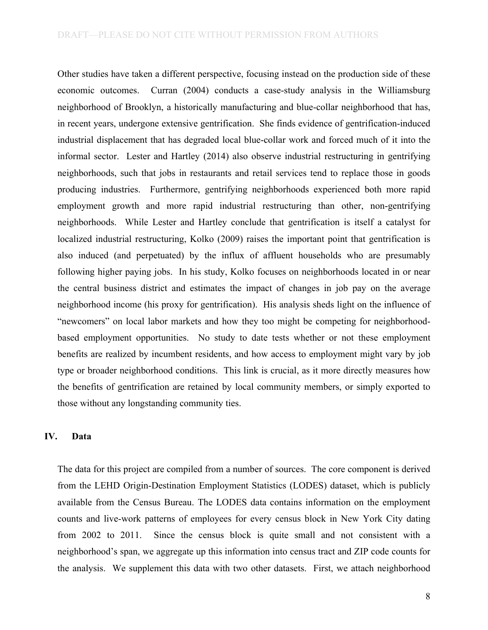Other studies have taken a different perspective, focusing instead on the production side of these economic outcomes. Curran (2004) conducts a case-study analysis in the Williamsburg neighborhood of Brooklyn, a historically manufacturing and blue-collar neighborhood that has, in recent years, undergone extensive gentrification. She finds evidence of gentrification-induced industrial displacement that has degraded local blue-collar work and forced much of it into the informal sector. Lester and Hartley (2014) also observe industrial restructuring in gentrifying neighborhoods, such that jobs in restaurants and retail services tend to replace those in goods neighborhoods. While Lester and Hartley conclude that gentrification is itself a catalyst for localized industrial restructuring, Kolko (2009) raises the important point that gentrification is also induced (and perpetuated) by the influx of affluent households who are presumably following higher paying jobs. In his study, Kolko focuses on neighborhoods located in or near the central business district and estimates the impact of changes in job pay on the average neighborhood income (his proxy for gentrification). His analysis sheds light on the influence of "newcomers" on local labor markets and how they too might be competing for neighborhood- based employment opportunities. No study to date tests whether or not these employment benefits are realized by incumbent residents, and how access to employment might vary by job type or broader neighborhood conditions. This link is crucial, as it more directly measures how the benefits of gentrification are retained by local community members, or simply exported to producing industries. Furthermore, gentrifying neighborhoods experienced both more rapid employment growth and more rapid industrial restructuring than other, non-gentrifying those without any longstanding community ties.

## **IV. Data**

 The data for this project are compiled from a number of sources. The core component is derived from the LEHD Origin-Destination Employment Statistics (LODES) dataset, which is publicly available from the Census Bureau. The LODES data contains information on the employment counts and live-work patterns of employees for every census block in New York City dating from  $2002$  to  $2011$ . neighborhood's span, we aggregate up this information into census tract and ZIP code counts for the analysis. We supplement this data with two other datasets. First, we attach neighborhood Since the census block is quite small and not consistent with a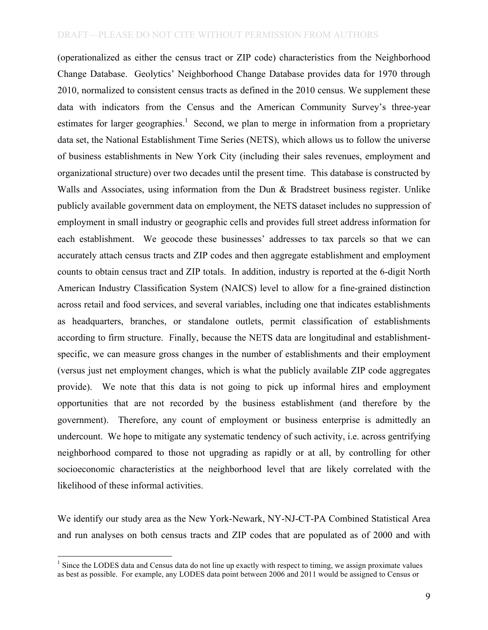(operationalized as either the census tract or ZIP code) characteristics from the Neighborhood Change Database. Geolytics' Neighborhood Change Database provides data for 1970 through 2010, normalized to consistent census tracts as defined in the 2010 census. We supplement these data with indicators from the Census and the American Community Survey's three-year estimates for larger geographies.<sup>1</sup> Second, we plan to merge in information from a proprietary data set, the National Establishment Time Series (NETS), which allows us to follow the universe of business establishments in New York City (including their sales revenues, employment and organizational structure) over two decades until the present time. This database is constructed by Walls and Associates, using information from the Dun & Bradstreet business register. Unlike publicly available government data on employment, the NETS dataset includes no suppression of employment in small industry or geographic cells and provides full street address information for each establishment. We geocode these businesses' addresses to tax parcels so that we can accurately attach census tracts and ZIP codes and then aggregate establishment and employment counts to obtain census tract and ZIP totals. In addition, industry is reported at the 6-digit North American Industry Classification System (NAICS) level to allow for a fine-grained distinction across retail and food services, and several variables, including one that indicates establishments according to firm structure. Finally, because the NETS data are longitudinal and establishment- specific, we can measure gross changes in the number of establishments and their employment (versus just net employment changes, which is what the publicly available ZIP code aggregates provide). We note that this data is not going to pick up informal hires and employment opportunities that are not recorded by the business establishment (and therefore by the government). Therefore, any count of employment or business enterprise is admittedly an undercount. We hope to mitigate any systematic tendency of such activity, i.e. across gentrifying neighborhood compared to those not upgrading as rapidly or at all, by controlling for other socioeconomic characteristics at the neighborhood level that are likely correlated with the as headquarters, branches, or standalone outlets, permit classification of establishments likelihood of these informal activities.

 We identify our study area as the New York-Newark, NY-NJ-CT-PA Combined Statistical Area and run analyses on both census tracts and ZIP codes that are populated as of 2000 and with

 $1$  Since the LODES data and Census data do not line up exactly with respect to timing, we assign proximate values as best as possible. For example, any LODES data point between 2006 and 2011 would be assigned to Census or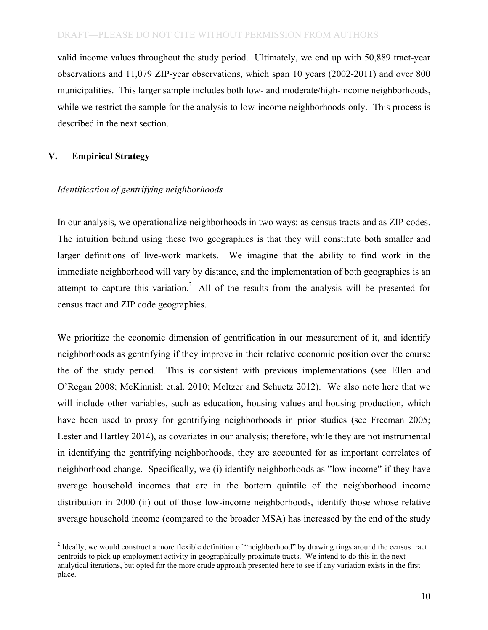valid income values throughout the study period. Ultimately, we end up with 50,889 tract-year municipalities. This larger sample includes both low- and moderate/high-income neighborhoods, while we restrict the sample for the analysis to low-income neighborhoods only. This process is observations and 11,079 ZIP-year observations, which span 10 years (2002-2011) and over 800 described in the next section.

## **V. Empirical Strategy**

## *Identification of gentrifying neighborhoods*

 In our analysis, we operationalize neighborhoods in two ways: as census tracts and as ZIP codes. The intuition behind using these two geographies is that they will constitute both smaller and larger definitions of live-work markets. We imagine that the ability to find work in the immediate neighborhood will vary by distance, and the implementation of both geographies is an attempt to capture this variation.<sup>2</sup> All of the results from the analysis will be presented for census tract and ZIP code geographies.

 We prioritize the economic dimension of gentrification in our measurement of it, and identify neighborhoods as gentrifying if they improve in their relative economic position over the course the of the study period. This is consistent with previous implementations (see Ellen and O'Regan 2008; McKinnish et.al. 2010; Meltzer and Schuetz 2012). We also note here that we will include other variables, such as education, housing values and housing production, which have been used to proxy for gentrifying neighborhoods in prior studies (see Freeman 2005; Lester and Hartley 2014), as covariates in our analysis; therefore, while they are not instrumental in identifying the gentrifying neighborhoods, they are accounted for as important correlates of neighborhood change. Specifically, we (i) identify neighborhoods as "low-income" if they have average household incomes that are in the bottom quintile of the neighborhood income distribution in 2000 (ii) out of those low-income neighborhoods, identify those whose relative average household income (compared to the broader MSA) has increased by the end of the study

 $2$  Ideally, we would construct a more flexible definition of "neighborhood" by drawing rings around the census tract centroids to pick up employment activity in geographically proximate tracts. We intend to do this in the next analytical iterations, but opted for the more crude approach presented here to see if any variation exists in the first place. place. 10<br>10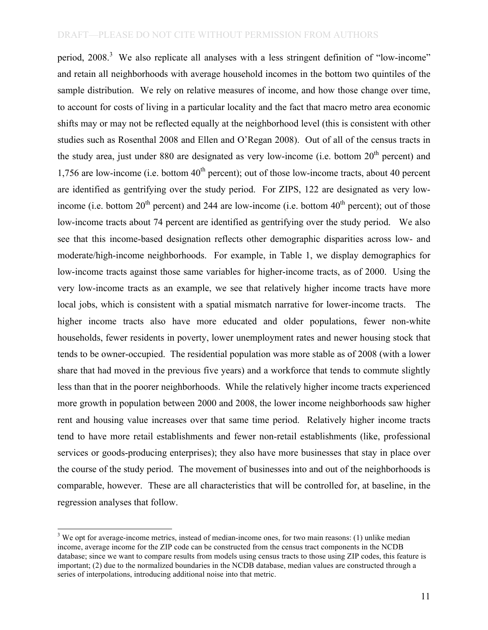period,  $2008<sup>3</sup>$  We also replicate all analyses with a less stringent definition of "low-income" and retain all neighborhoods with average household incomes in the bottom two quintiles of the sample distribution. We rely on relative measures of income, and how those change over time, to account for costs of living in a particular locality and the fact that macro metro area economic shifts may or may not be reflected equally at the neighborhood level (this is consistent with other studies such as Rosenthal 2008 and Ellen and O'Regan 2008). Out of all of the census tracts in the study area, just under 880 are designated as very low-income (i.e. bottom  $20<sup>th</sup>$  percent) and 1,756 are low-income (i.e. bottom  $40<sup>th</sup>$  percent); out of those low-income tracts, about 40 percent are identified as gentrifying over the study period. For ZIPS, 122 are designated as very lowincome (i.e. bottom  $20^{th}$  percent) and 244 are low-income (i.e. bottom  $40^{th}$  percent); out of those low-income tracts about 74 percent are identified as gentrifying over the study period. We also see that this income-based designation reflects other demographic disparities across low- and moderate/high-income neighborhoods. For example, in Table 1, we display demographics for low-income tracts against those same variables for higher-income tracts, as of 2000. Using the very low-income tracts as an example, we see that relatively higher income tracts have more local jobs, which is consistent with a spatial mismatch narrative for lower-income tracts. The higher income tracts also have more educated and older populations, fewer non-white households, fewer residents in poverty, lower unemployment rates and newer housing stock that tends to be owner-occupied. The residential population was more stable as of 2008 (with a lower share that had moved in the previous five years) and a workforce that tends to commute slightly less than that in the poorer neighborhoods. While the relatively higher income tracts experienced more growth in population between 2000 and 2008, the lower income neighborhoods saw higher rent and housing value increases over that same time period. Relatively higher income tracts tend to have more retail establishments and fewer non-retail establishments (like, professional services or goods-producing enterprises); they also have more businesses that stay in place over the course of the study period. The movement of businesses into and out of the neighborhoods is comparable, however. These are all characteristics that will be controlled for, at baseline, in the regression analyses that follow.

 $3$  We opt for average-income metrics, instead of median-income ones, for two main reasons: (1) unlike median database; since we want to compare results from models using census tracts to those using ZIP codes, this feature is series of interpolations, introducing additional noise into that metric. income, average income for the ZIP code can be constructed from the census tract components in the NCDB important; (2) due to the normalized boundaries in the NCDB database, median values are constructed through a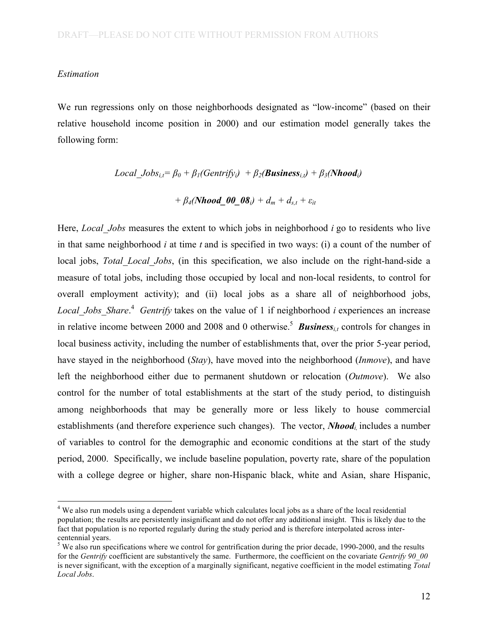#### *Estimation*

 relative household income position in 2000) and our estimation model generally takes the We run regressions only on those neighborhoods designated as "low-income" (based on their following form:

> $Local\_Jobs_{i,t} = \beta_0 + \beta_1(Gentrify_i) + \beta_2(Business_{i,t}) + \beta_3(Nhood_i)$  $+ \beta_4(Nhood_00_08_i) + d_m + d_{s,t} + \varepsilon_{it}$

 Here, *Local\_Jobs* measures the extent to which jobs in neighborhood *i* go to residents who live in that same neighborhood *i* at time *t* and is specified in two ways: (i) a count of the number of local jobs, *Total Local Jobs*, (in this specification, we also include on the right-hand-side a measure of total jobs, including those occupied by local and non-local residents, to control for overall employment activity); and (ii) local jobs as a share all of neighborhood jobs, *Local\_Jobs\_Share*. <sup>4</sup>*Gentrify* takes on the value of 1 if neighborhood *i* experiences an increase in relative income between 2000 and 2008 and 0 otherwise.<sup>5</sup> *Business<sub>i,t</sub>* controls for changes in local business activity, including the number of establishments that, over the prior 5-year period, have stayed in the neighborhood (*Stay*), have moved into the neighborhood (*Inmove*), and have left the neighborhood either due to permanent shutdown or relocation (*Outmove*). We also control for the number of total establishments at the start of the study period, to distinguish among neighborhoods that may be generally more or less likely to house commercial establishments (and therefore experience such changes). The vector, *Nhoodi,* includes a number of variables to control for the demographic and economic conditions at the start of the study period, 2000. Specifically, we include baseline population, poverty rate, share of the population with a college degree or higher, share non-Hispanic black, white and Asian, share Hispanic,

<sup>&</sup>lt;sup>4</sup> We also run models using a dependent variable which calculates local jobs as a share of the local residential population; the results are persistently insignificant and do not offer any additional insight. This is likely due to the fact that population is no reported regularly during the study period and is therefore interpolated across intercentennial years.

 $5$  We also run specifications where we control for gentrification during the prior decade, 1990-2000, and the results for the *Gentrify* coefficient are substantively the same. Furthermore, the coefficient on the covariate *Gentrify 90\_00*  is never significant, with the exception of a marginally significant, negative coefficient in the model estimating *Total Local Jobs*.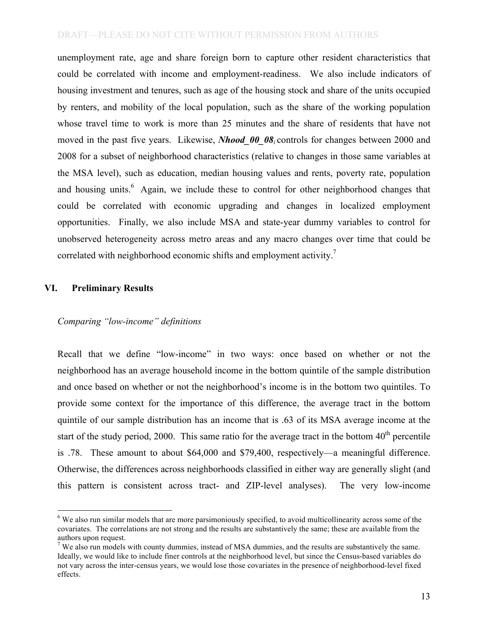unemployment rate, age and share foreign born to capture other resident characteristics that could be correlated with income and employment-readiness. We also include indicators of housing investment and tenures, such as age of the housing stock and share of the units occupied by renters, and mobility of the local population, such as the share of the working population whose travel time to work is more than 25 minutes and the share of residents that have not moved in the past five years. Likewise, *Nhood\_00\_08i* controls for changes between 2000 and 2008 for a subset of neighborhood characteristics (relative to changes in those same variables at the MSA level), such as education, median housing values and rents, poverty rate, population and housing units.<sup>6</sup> Again, we include these to control for other neighborhood changes that opportunities. Finally, we also include MSA and state-year dummy variables to control for unobserved heterogeneity across metro areas and any macro changes over time that could be correlated with neighborhood economic shifts and employment activity.<sup>7</sup> could be correlated with economic upgrading and changes in localized employment

## **VI. Preliminary Results**

#### *Comparing "low-income" definitions*

 Recall that we define "low-income" in two ways: once based on whether or not the neighborhood has an average household income in the bottom quintile of the sample distribution and once based on whether or not the neighborhood's income is in the bottom two quintiles. To provide some context for the importance of this difference, the average tract in the bottom quintile of our sample distribution has an income that is .63 of its MSA average income at the start of the study period, 2000. This same ratio for the average tract in the bottom  $40<sup>th</sup>$  percentile is .78. These amount to about \$64,000 and \$79,400, respectively—a meaningful difference. Otherwise, the differences across neighborhoods classified in either way are generally slight (and this pattern is consistent across tract- and ZIP-level analyses). The very low-income

 $6$  We also run similar models that are more parsimoniously specified, to avoid multicollinearity across some of the covariates. The correlations are not strong and the results are substantively the same; these are available from the authors upon request.

 $7$  We also run models with county dummies, instead of MSA dummies, and the results are substantively the same. Ideally, we would like to include finer controls at the neighborhood level, but since the Census-based variables do not vary across the inter-census years, we would lose those covariates in the presence of neighborhood-level fixed effects. effects.<br>13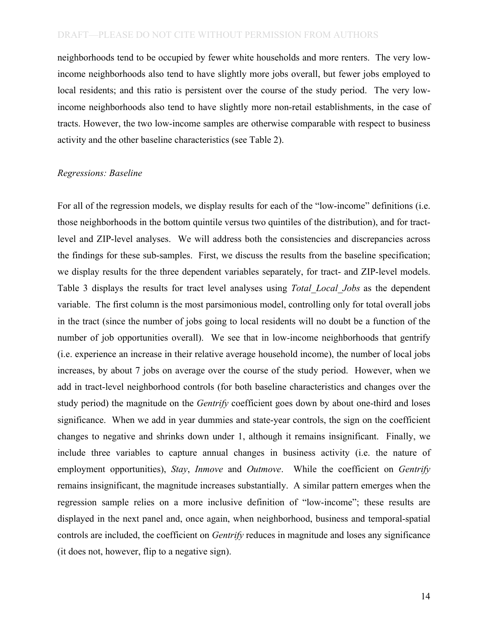neighborhoods tend to be occupied by fewer white households and more renters. The very low- income neighborhoods also tend to have slightly more jobs overall, but fewer jobs employed to local residents; and this ratio is persistent over the course of the study period. The very low- income neighborhoods also tend to have slightly more non-retail establishments, in the case of tracts. However, the two low-income samples are otherwise comparable with respect to business activity and the other baseline characteristics (see Table 2).

#### *Regressions: Baseline*

 For all of the regression models, we display results for each of the "low-income" definitions (i.e. those neighborhoods in the bottom quintile versus two quintiles of the distribution), and for tract- level and ZIP-level analyses. We will address both the consistencies and discrepancies across the findings for these sub-samples. First, we discuss the results from the baseline specification; we display results for the three dependent variables separately, for tract- and ZIP-level models. Table 3 displays the results for tract level analyses using *Total\_Local\_Jobs* as the dependent variable. The first column is the most parsimonious model, controlling only for total overall jobs in the tract (since the number of jobs going to local residents will no doubt be a function of the number of job opportunities overall). We see that in low-income neighborhoods that gentrify (i.e. experience an increase in their relative average household income), the number of local jobs increases, by about 7 jobs on average over the course of the study period. However, when we add in tract-level neighborhood controls (for both baseline characteristics and changes over the study period) the magnitude on the *Gentrify* coefficient goes down by about one-third and loses significance. When we add in year dummies and state-year controls, the sign on the coefficient changes to negative and shrinks down under 1, although it remains insignificant. Finally, we include three variables to capture annual changes in business activity (i.e. the nature of employment opportunities), *Stay*, *Inmove* and *Outmove*. While the coefficient on *Gentrify*  remains insignificant, the magnitude increases substantially. A similar pattern emerges when the regression sample relies on a more inclusive definition of "low-income"; these results are displayed in the next panel and, once again, when neighborhood, business and temporal-spatial controls are included, the coefficient on *Gentrify* reduces in magnitude and loses any significance (it does not, however, flip to a negative sign).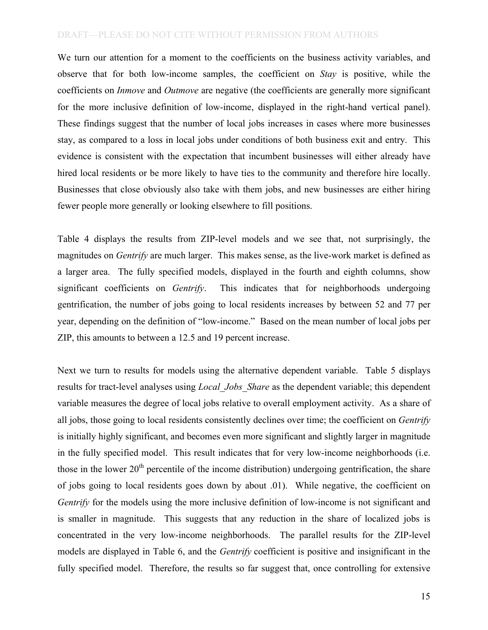We turn our attention for a moment to the coefficients on the business activity variables, and observe that for both low-income samples, the coefficient on *Stay* is positive, while the coefficients on *Inmove* and *Outmove* are negative (the coefficients are generally more significant for the more inclusive definition of low-income, displayed in the right-hand vertical panel). These findings suggest that the number of local jobs increases in cases where more businesses stay, as compared to a loss in local jobs under conditions of both business exit and entry. This evidence is consistent with the expectation that incumbent businesses will either already have hired local residents or be more likely to have ties to the community and therefore hire locally. Businesses that close obviously also take with them jobs, and new businesses are either hiring fewer people more generally or looking elsewhere to fill positions.

 Table 4 displays the results from ZIP-level models and we see that, not surprisingly, the magnitudes on *Gentrify* are much larger. This makes sense, as the live-work market is defined as a larger area. The fully specified models, displayed in the fourth and eighth columns, show significant coefficients on *Gentrify*. gentrification, the number of jobs going to local residents increases by between 52 and 77 per year, depending on the definition of "low-income." Based on the mean number of local jobs per ZIP, this amounts to between a 12.5 and 19 percent increase. This indicates that for neighborhoods undergoing.

 Next we turn to results for models using the alternative dependent variable. Table 5 displays results for tract-level analyses using *Local\_Jobs\_Share* as the dependent variable; this dependent variable measures the degree of local jobs relative to overall employment activity. As a share of all jobs, those going to local residents consistently declines over time; the coefficient on *Gentrify*  is initially highly significant, and becomes even more significant and slightly larger in magnitude in the fully specified model. This result indicates that for very low-income neighborhoods (i.e. those in the lower  $20<sup>th</sup>$  percentile of the income distribution) undergoing gentrification, the share of jobs going to local residents goes down by about .01). While negative, the coefficient on *Gentrify* for the models using the more inclusive definition of low-income is not significant and is smaller in magnitude. This suggests that any reduction in the share of localized jobs is concentrated in the very low-income neighborhoods. The parallel results for the ZIP-level models are displayed in Table 6, and the *Gentrify* coefficient is positive and insignificant in the fully specified model. Therefore, the results so far suggest that, once controlling for extensive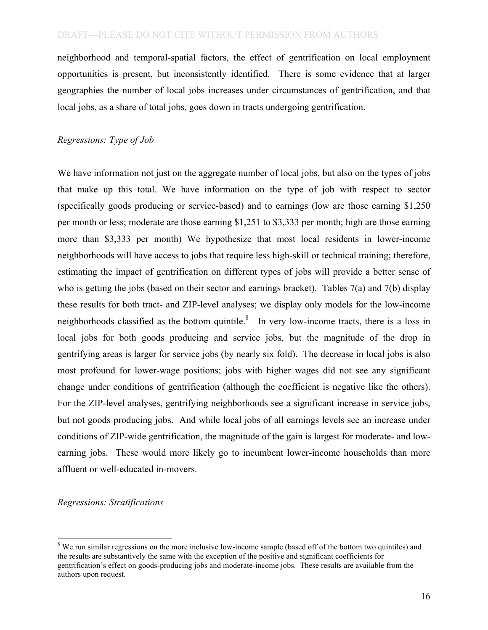neighborhood and temporal-spatial factors, the effect of gentrification on local employment opportunities is present, but inconsistently identified. There is some evidence that at larger geographies the number of local jobs increases under circumstances of gentrification, and that local jobs, as a share of total jobs, goes down in tracts undergoing gentrification.

### *Regressions: Type of Job*

 We have information not just on the aggregate number of local jobs, but also on the types of jobs that make up this total. We have information on the type of job with respect to sector (specifically goods producing or service-based) and to earnings (low are those earning \$1,250 per month or less; moderate are those earning \$1,251 to \$3,333 per month; high are those earning more than \$3,333 per month) We hypothesize that most local residents in lower-income neighborhoods will have access to jobs that require less high-skill or technical training; therefore, estimating the impact of gentrification on different types of jobs will provide a better sense of who is getting the jobs (based on their sector and earnings bracket). Tables 7(a) and 7(b) display these results for both tract- and ZIP-level analyses; we display only models for the low-income neighborhoods classified as the bottom quintile.<sup>8</sup> In very low-income tracts, there is a loss in local jobs for both goods producing and service jobs, but the magnitude of the drop in gentrifying areas is larger for service jobs (by nearly six fold). The decrease in local jobs is also most profound for lower-wage positions; jobs with higher wages did not see any significant change under conditions of gentrification (although the coefficient is negative like the others). For the ZIP-level analyses, gentrifying neighborhoods see a significant increase in service jobs, but not goods producing jobs. And while local jobs of all earnings levels see an increase under conditions of ZIP-wide gentrification, the magnitude of the gain is largest for moderate- and low- earning jobs. These would more likely go to incumbent lower-income households than more affluent or well-educated in-movers.

#### *Regressions: Stratifications*

 $8$  We run similar regressions on the more inclusive low-income sample (based off of the bottom two quintiles) and the results are substantively the same with the exception of the positive and significant coefficients for gentrification's effect on goods-producing jobs and moderate-income jobs. These results are available from the authors upon request.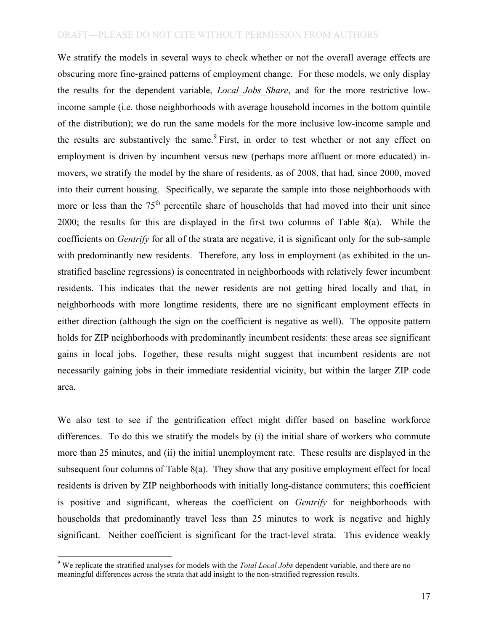We stratify the models in several ways to check whether or not the overall average effects are obscuring more fine-grained patterns of employment change. For these models, we only display the results for the dependent variable, *Local\_Jobs\_Share*, and for the more restrictive low- income sample (i.e. those neighborhoods with average household incomes in the bottom quintile of the distribution); we do run the same models for the more inclusive low-income sample and the results are substantively the same.<sup>9</sup> First, in order to test whether or not any effect on employment is driven by incumbent versus new (perhaps more affluent or more educated) in- movers, we stratify the model by the share of residents, as of 2008, that had, since 2000, moved into their current housing. Specifically, we separate the sample into those neighborhoods with more or less than the  $75<sup>th</sup>$  percentile share of households that had moved into their unit since 2000; the results for this are displayed in the first two columns of Table 8(a). While the coefficients on *Gentrify* for all of the strata are negative, it is significant only for the sub-sample with predominantly new residents. Therefore, any loss in employment (as exhibited in the un- stratified baseline regressions) is concentrated in neighborhoods with relatively fewer incumbent residents. This indicates that the newer residents are not getting hired locally and that, in neighborhoods with more longtime residents, there are no significant employment effects in either direction (although the sign on the coefficient is negative as well). The opposite pattern holds for ZIP neighborhoods with predominantly incumbent residents: these areas see significant gains in local jobs. Together, these results might suggest that incumbent residents are not necessarily gaining jobs in their immediate residential vicinity, but within the larger ZIP code area.

 area. We also test to see if the gentrification effect might differ based on baseline workforce differences. To do this we stratify the models by (i) the initial share of workers who commute more than 25 minutes, and (ii) the initial unemployment rate. These results are displayed in the subsequent four columns of Table 8(a). They show that any positive employment effect for local residents is driven by ZIP neighborhoods with initially long-distance commuters; this coefficient is positive and significant, whereas the coefficient on *Gentrify* for neighborhoods with households that predominantly travel less than 25 minutes to work is negative and highly significant. Neither coefficient is significant for the tract-level strata. This evidence weakly

 9 We replicate the stratified analyses for models with the *Total Local Jobs* dependent variable, and there are no meaningful differences across the strata that add insight to the non-stratified regression results.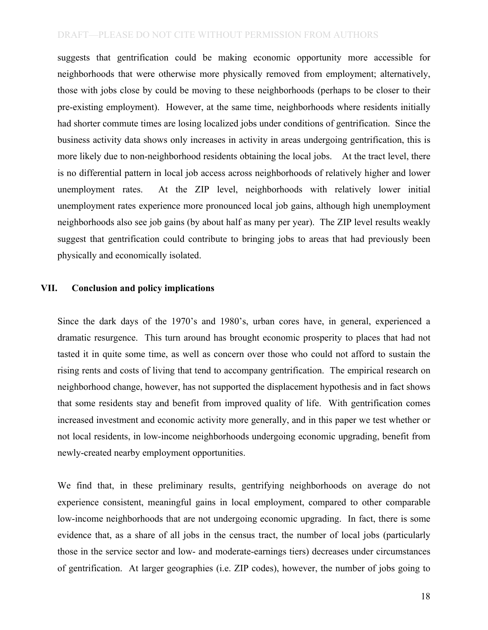suggests that gentrification could be making economic opportunity more accessible for neighborhoods that were otherwise more physically removed from employment; alternatively, those with jobs close by could be moving to these neighborhoods (perhaps to be closer to their pre-existing employment). However, at the same time, neighborhoods where residents initially had shorter commute times are losing localized jobs under conditions of gentrification. Since the business activity data shows only increases in activity in areas undergoing gentrification, this is more likely due to non-neighborhood residents obtaining the local jobs. At the tract level, there is no differential pattern in local job access across neighborhoods of relatively higher and lower unemployment rates. unemployment rates experience more pronounced local job gains, although high unemployment neighborhoods also see job gains (by about half as many per year). The ZIP level results weakly suggest that gentrification could contribute to bringing jobs to areas that had previously been physically and economically isolated. At the ZIP level, neighborhoods with relatively lower initial

#### **VII. Conclusion and policy implications**

 Since the dark days of the 1970's and 1980's, urban cores have, in general, experienced a dramatic resurgence. This turn around has brought economic prosperity to places that had not tasted it in quite some time, as well as concern over those who could not afford to sustain the rising rents and costs of living that tend to accompany gentrification. The empirical research on neighborhood change, however, has not supported the displacement hypothesis and in fact shows that some residents stay and benefit from improved quality of life. With gentrification comes increased investment and economic activity more generally, and in this paper we test whether or not local residents, in low-income neighborhoods undergoing economic upgrading, benefit from newly-created nearby employment opportunities.

 We find that, in these preliminary results, gentrifying neighborhoods on average do not experience consistent, meaningful gains in local employment, compared to other comparable low-income neighborhoods that are not undergoing economic upgrading. In fact, there is some evidence that, as a share of all jobs in the census tract, the number of local jobs (particularly those in the service sector and low- and moderate-earnings tiers) decreases under circumstances of gentrification. At larger geographies (i.e. ZIP codes), however, the number of jobs going to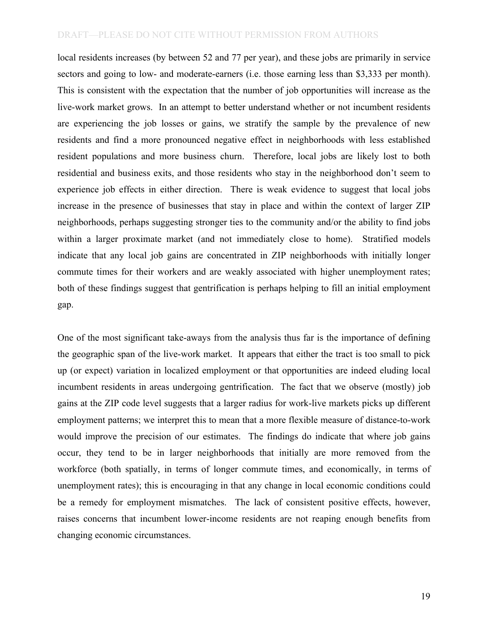local residents increases (by between 52 and 77 per year), and these jobs are primarily in service sectors and going to low- and moderate-earners (i.e. those earning less than \$3,333 per month). This is consistent with the expectation that the number of job opportunities will increase as the live-work market grows. In an attempt to better understand whether or not incumbent residents are experiencing the job losses or gains, we stratify the sample by the prevalence of new residents and find a more pronounced negative effect in neighborhoods with less established resident populations and more business churn. Therefore, local jobs are likely lost to both residential and business exits, and those residents who stay in the neighborhood don't seem to experience job effects in either direction. There is weak evidence to suggest that local jobs increase in the presence of businesses that stay in place and within the context of larger ZIP neighborhoods, perhaps suggesting stronger ties to the community and/or the ability to find jobs within a larger proximate market (and not immediately close to home). Stratified models indicate that any local job gains are concentrated in ZIP neighborhoods with initially longer commute times for their workers and are weakly associated with higher unemployment rates; both of these findings suggest that gentrification is perhaps helping to fill an initial employment gap.

 One of the most significant take-aways from the analysis thus far is the importance of defining the geographic span of the live-work market. It appears that either the tract is too small to pick up (or expect) variation in localized employment or that opportunities are indeed eluding local incumbent residents in areas undergoing gentrification. The fact that we observe (mostly) job gains at the ZIP code level suggests that a larger radius for work-live markets picks up different employment patterns; we interpret this to mean that a more flexible measure of distance-to-work would improve the precision of our estimates. The findings do indicate that where job gains occur, they tend to be in larger neighborhoods that initially are more removed from the workforce (both spatially, in terms of longer commute times, and economically, in terms of unemployment rates); this is encouraging in that any change in local economic conditions could be a remedy for employment mismatches. The lack of consistent positive effects, however, raises concerns that incumbent lower-income residents are not reaping enough benefits from changing economic circumstances.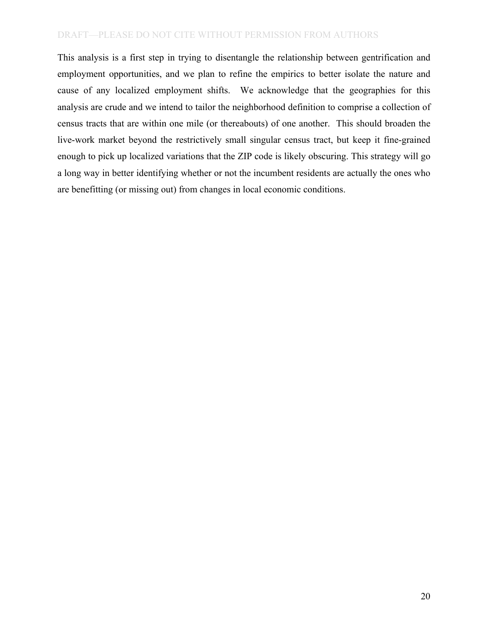This analysis is a first step in trying to disentangle the relationship between gentrification and employment opportunities, and we plan to refine the empirics to better isolate the nature and cause of any localized employment shifts. We acknowledge that the geographies for this analysis are crude and we intend to tailor the neighborhood definition to comprise a collection of census tracts that are within one mile (or thereabouts) of one another. This should broaden the live-work market beyond the restrictively small singular census tract, but keep it fine-grained enough to pick up localized variations that the ZIP code is likely obscuring. This strategy will go a long way in better identifying whether or not the incumbent residents are actually the ones who are benefitting (or missing out) from changes in local economic conditions.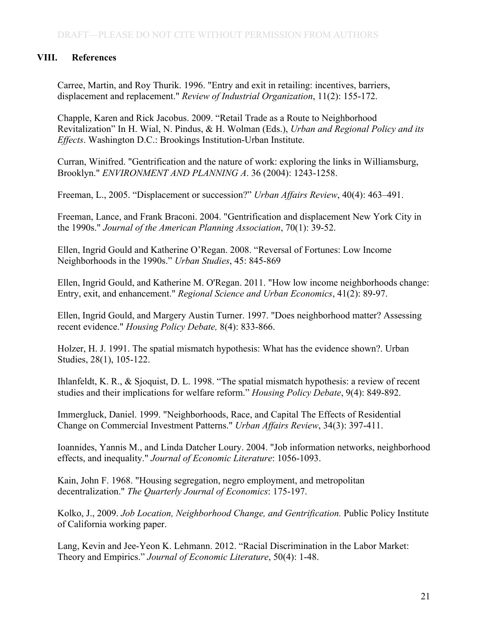# **VIII. References**

Carree, Martin, and Roy Thurik. 1996. "Entry and exit in retailing: incentives, barriers, displacement and replacement." *Review of Industrial Organization*, 11(2): 155-172.

Chapple, Karen and Rick Jacobus. 2009. "Retail Trade as a Route to Neighborhood Revitalization" In H. Wial, N. Pindus, & H. Wolman (Eds.), *Urban and Regional Policy and its Effects*. Washington D.C.: Brookings Institution-Urban Institute.

Curran, Winifred. "Gentrification and the nature of work: exploring the links in Williamsburg, Brooklyn." *ENVIRONMENT AND PLANNING A*. 36 (2004): 1243-1258.

Freeman, L., 2005. "Displacement or succession?" *Urban Affairs Review*, 40(4): 463–491.

Freeman, Lance, and Frank Braconi. 2004. "Gentrification and displacement New York City in the 1990s." *Journal of the American Planning Association*, 70(1): 39-52.

Ellen, Ingrid Gould and Katherine O'Regan. 2008. "Reversal of Fortunes: Low Income Neighborhoods in the 1990s." *Urban Studies*, 45: 845-869

Ellen, Ingrid Gould, and Katherine M. O'Regan. 2011. "How low income neighborhoods change: Entry, exit, and enhancement." *Regional Science and Urban Economics*, 41(2): 89-97.

 recent evidence." *Housing Policy Debate,* 8(4): 833-866. Ellen, Ingrid Gould, and Margery Austin Turner. 1997. "Does neighborhood matter? Assessing

Holzer, H. J. 1991. The spatial mismatch hypothesis: What has the evidence shown?. Urban Studies, 28(1), 105-122.

 studies and their implications for welfare reform." *Housing Policy Debate*, 9(4): 849-892. Ihlanfeldt, K. R., & Sjoquist, D. L. 1998. "The spatial mismatch hypothesis: a review of recent

Immergluck, Daniel. 1999. "Neighborhoods, Race, and Capital The Effects of Residential Change on Commercial Investment Patterns." *Urban Affairs Review*, 34(3): 397-411.

Ioannides, Yannis M., and Linda Datcher Loury. 2004. "Job information networks, neighborhood effects, and inequality." *Journal of Economic Literature*: 1056-1093.

Kain, John F. 1968. "Housing segregation, negro employment, and metropolitan decentralization." *The Quarterly Journal of Economics*: 175-197.

Kolko, J., 2009. *Job Location, Neighborhood Change, and Gentrification.* Public Policy Institute of California working paper.

 Theory and Empirics." *Journal of Economic Literature*, 50(4): 1-48. Lang, Kevin and Jee-Yeon K. Lehmann. 2012. "Racial Discrimination in the Labor Market: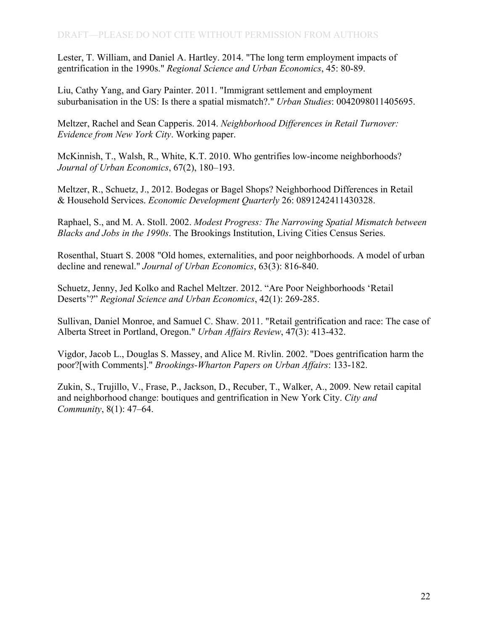Lester, T. William, and Daniel A. Hartley. 2014. "The long term employment impacts of gentrification in the 1990s." *Regional Science and Urban Economics*, 45: 80-89.

 suburbanisation in the US: Is there a spatial mismatch?." *Urban Studies*: 0042098011405695. Liu, Cathy Yang, and Gary Painter. 2011. "Immigrant settlement and employment

Meltzer, Rachel and Sean Capperis. 2014. *Neighborhood Differences in Retail Turnover: Evidence from New York City*. Working paper.

McKinnish, T., Walsh, R., White, K.T. 2010. Who gentrifies low-income neighborhoods? *Journal of Urban Economics*, 67(2), 180–193.

Meltzer, R., Schuetz, J., 2012. Bodegas or Bagel Shops? Neighborhood Differences in Retail & Household Services. *Economic Development Quarterly* 26: 0891242411430328.

Raphael, S., and M. A. Stoll. 2002. *Modest Progress: The Narrowing Spatial Mismatch between Blacks and Jobs in the 1990s*. The Brookings Institution, Living Cities Census Series.

Rosenthal, Stuart S. 2008 "Old homes, externalities, and poor neighborhoods. A model of urban decline and renewal." *Journal of Urban Economics*, 63(3): 816-840.

Schuetz, Jenny, Jed Kolko and Rachel Meltzer. 2012. "Are Poor Neighborhoods 'Retail Deserts'?" *Regional Science and Urban Economics*, 42(1): 269-285.

Sullivan, Daniel Monroe, and Samuel C. Shaw. 2011. "Retail gentrification and race: The case of Alberta Street in Portland, Oregon." *Urban Affairs Review*, 47(3): 413-432.

Vigdor, Jacob L., Douglas S. Massey, and Alice M. Rivlin. 2002. "Does gentrification harm the poor?[with Comments]." *Brookings-Wharton Papers on Urban Affairs*: 133-182.

 *Community*, 8(1): 47–64. Zukin, S., Trujillo, V., Frase, P., Jackson, D., Recuber, T., Walker, A., 2009. New retail capital and neighborhood change: boutiques and gentrification in New York City. *City and*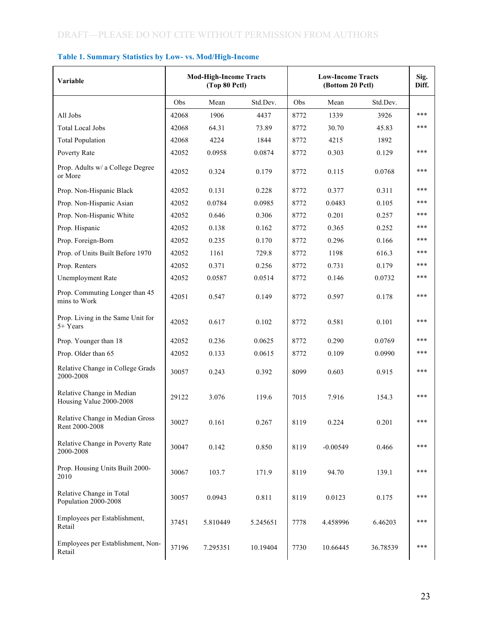| Variable                                             |       | <b>Mod-High-Income Tracts</b><br>(Top 80 Pctl) |          |      | <b>Low-Income Tracts</b><br>(Bottom 20 Pctl) |          | Sig.<br>Diff. |
|------------------------------------------------------|-------|------------------------------------------------|----------|------|----------------------------------------------|----------|---------------|
|                                                      | Obs   | Mean                                           | Std.Dev. | Obs  | Mean                                         | Std.Dev. |               |
| All Jobs                                             | 42068 | 1906                                           | 4437     | 8772 | 1339                                         | 3926     | ***           |
| <b>Total Local Jobs</b>                              | 42068 | 64.31                                          | 73.89    | 8772 | 30.70                                        | 45.83    | ***           |
| <b>Total Population</b>                              | 42068 | 4224                                           | 1844     | 8772 | 4215                                         | 1892     |               |
| Poverty Rate                                         | 42052 | 0.0958                                         | 0.0874   | 8772 | 0.303                                        | 0.129    | ***           |
| Prop. Adults w/ a College Degree<br>or More          | 42052 | 0.324                                          | 0.179    | 8772 | 0.115                                        | 0.0768   | ***           |
| Prop. Non-Hispanic Black                             | 42052 | 0.131                                          | 0.228    | 8772 | 0.377                                        | 0.311    | ***           |
| Prop. Non-Hispanic Asian                             | 42052 | 0.0784                                         | 0.0985   | 8772 | 0.0483                                       | 0.105    | ***           |
| Prop. Non-Hispanic White                             | 42052 | 0.646                                          | 0.306    | 8772 | 0.201                                        | 0.257    | ***           |
| Prop. Hispanic                                       | 42052 | 0.138                                          | 0.162    | 8772 | 0.365                                        | 0.252    | ***           |
| Prop. Foreign-Born                                   | 42052 | 0.235                                          | 0.170    | 8772 | 0.296                                        | 0.166    | ***           |
| Prop. of Units Built Before 1970                     | 42052 | 1161                                           | 729.8    | 8772 | 1198                                         | 616.3    | ***           |
| Prop. Renters                                        | 42052 | 0.371                                          | 0.256    | 8772 | 0.731                                        | 0.179    | ***           |
| Unemployment Rate                                    | 42052 | 0.0587                                         | 0.0514   | 8772 | 0.146                                        | 0.0732   | ***           |
| Prop. Commuting Longer than 45<br>mins to Work       | 42051 | 0.547                                          | 0.149    | 8772 | 0.597                                        | 0.178    | ***           |
| Prop. Living in the Same Unit for<br>5+ Years        | 42052 | 0.617                                          | 0.102    | 8772 | 0.581                                        | 0.101    | ***           |
| Prop. Younger than 18                                | 42052 | 0.236                                          | 0.0625   | 8772 | 0.290                                        | 0.0769   | ***           |
| Prop. Older than 65                                  | 42052 | 0.133                                          | 0.0615   | 8772 | 0.109                                        | 0.0990   | ***           |
| Relative Change in College Grads<br>2000-2008        | 30057 | 0.243                                          | 0.392    | 8099 | 0.603                                        | 0.915    | ***           |
| Relative Change in Median<br>Housing Value 2000-2008 | 29122 | 3.076                                          | 119.6    | 7015 | 7.916                                        | 154.3    | ***           |
| Relative Change in Median Gross<br>Rent 2000-2008    | 30027 | 0.161                                          | 0.267    | 8119 | 0.224                                        | 0.201    | ***           |
| Relative Change in Poverty Rate<br>2000-2008         | 30047 | 0.142                                          | 0.850    | 8119 | $-0.00549$                                   | 0.466    | ***           |
| Prop. Housing Units Built 2000-<br>2010              | 30067 | 103.7                                          | 171.9    | 8119 | 94.70                                        | 139.1    | ***           |
| Relative Change in Total<br>Population 2000-2008     | 30057 | 0.0943                                         | 0.811    | 8119 | 0.0123                                       | 0.175    | ***           |
| Employees per Establishment,<br>Retail               | 37451 | 5.810449                                       | 5.245651 | 7778 | 4.458996                                     | 6.46203  | ***           |
| Employees per Establishment, Non-<br>Retail          | 37196 | 7.295351                                       | 10.19404 | 7730 | 10.66445                                     | 36.78539 | ***           |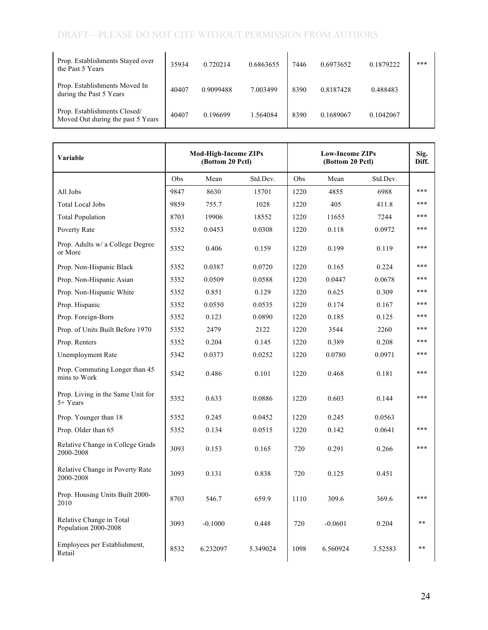| Prop. Establishments Stayed over<br>the Past 5 Years              | 35934 | 0.720214  | 0.6863655 | 7446 | 0.6973652 | 0.1879222 | *** |
|-------------------------------------------------------------------|-------|-----------|-----------|------|-----------|-----------|-----|
| Prop. Establishments Moved In<br>during the Past 5 Years          | 40407 | 0.9099488 | 7.003499  | 8390 | 0.8187428 | 0.488483  |     |
| Prop. Establishments Closed/<br>Moved Out during the past 5 Years | 40407 | 0.196699  | 1.564084  | 8390 | 0.1689067 | 0.1042067 |     |

| Variable                                         |      | <b>Mod-High-Income ZIPs</b><br>(Bottom 20 Pctl) |          |      | <b>Low-Income ZIPs</b><br>(Bottom 20 Pctl) |          |       |  |
|--------------------------------------------------|------|-------------------------------------------------|----------|------|--------------------------------------------|----------|-------|--|
|                                                  | Obs  | Mean                                            | Std.Dev. | Obs  | Mean                                       | Std.Dev. |       |  |
| All Jobs                                         | 9847 | 8630                                            | 15701    | 1220 | 4855                                       | 6988     | ***   |  |
| <b>Total Local Jobs</b>                          | 9859 | 755.7                                           | 1028     | 1220 | 405                                        | 411.8    | ***   |  |
| <b>Total Population</b>                          | 8703 | 19906                                           | 18552    | 1220 | 11655                                      | 7244     | ***   |  |
| Poverty Rate                                     | 5352 | 0.0453                                          | 0.0308   | 1220 | 0.118                                      | 0.0972   | ***   |  |
| Prop. Adults w/ a College Degree<br>or More      | 5352 | 0.406                                           | 0.159    | 1220 | 0.199                                      | 0.119    | ***   |  |
| Prop. Non-Hispanic Black                         | 5352 | 0.0387                                          | 0.0720   | 1220 | 0.165                                      | 0.224    | ***   |  |
| Prop. Non-Hispanic Asian                         | 5352 | 0.0509                                          | 0.0588   | 1220 | 0.0447                                     | 0.0678   | ***   |  |
| Prop. Non-Hispanic White                         | 5352 | 0.851                                           | 0.129    | 1220 | 0.625                                      | 0.309    | ***   |  |
| Prop. Hispanic                                   | 5352 | 0.0550                                          | 0.0535   | 1220 | 0.174                                      | 0.167    | ***   |  |
| Prop. Foreign-Born                               | 5352 | 0.123                                           | 0.0890   | 1220 | 0.185                                      | 0.125    | ***   |  |
| Prop. of Units Built Before 1970                 | 5352 | 2479                                            | 2122     | 1220 | 3544                                       | 2260     | ***   |  |
| Prop. Renters                                    | 5352 | 0.204                                           | 0.145    | 1220 | 0.389                                      | 0.208    | ***   |  |
| Unemployment Rate                                | 5342 | 0.0373                                          | 0.0252   | 1220 | 0.0780                                     | 0.0971   | ***   |  |
| Prop. Commuting Longer than 45<br>mins to Work   | 5342 | 0.486                                           | 0.101    | 1220 | 0.468                                      | 0.181    | ***   |  |
| Prop. Living in the Same Unit for<br>5+ Years    | 5352 | 0.633                                           | 0.0886   | 1220 | 0.603                                      | 0.144    | ***   |  |
| Prop. Younger than 18                            | 5352 | 0.245                                           | 0.0452   | 1220 | 0.245                                      | 0.0563   |       |  |
| Prop. Older than 65                              | 5352 | 0.134                                           | 0.0515   | 1220 | 0.142                                      | 0.0641   | ***   |  |
| Relative Change in College Grads<br>2000-2008    | 3093 | 0.153                                           | 0.165    | 720  | 0.291                                      | 0.266    | ***   |  |
| Relative Change in Poverty Rate<br>2000-2008     | 3093 | 0.131                                           | 0.838    | 720  | 0.125                                      | 0.451    |       |  |
| Prop. Housing Units Built 2000-<br>2010          | 8703 | 546.7                                           | 659.9    | 1110 | 309.6                                      | 369.6    | ***   |  |
| Relative Change in Total<br>Population 2000-2008 | 3093 | $-0.1000$                                       | 0.448    | 720  | $-0.0601$                                  | 0.204    | $***$ |  |
| Employees per Establishment,<br>Retail           | 8532 | 6.232097                                        | 5.349024 | 1098 | 6.560924                                   | 3.52583  | $***$ |  |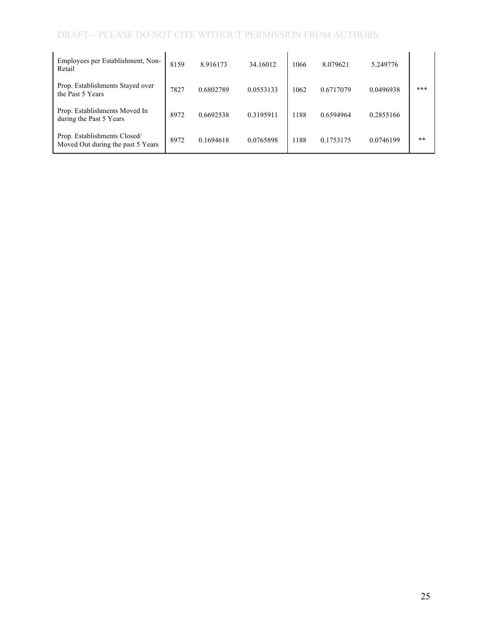| Employees per Establishment, Non-<br>Retail                       | 8159 | 8.916173  | 34.16012  | 1066 | 8.079621  | 5.249776  |       |
|-------------------------------------------------------------------|------|-----------|-----------|------|-----------|-----------|-------|
| Prop. Establishments Stayed over<br>the Past 5 Years              | 7827 | 0.6802789 | 0.0553133 | 1062 | 0.6717079 | 0.0496938 | $***$ |
| Prop. Establishments Moved In<br>during the Past 5 Years          | 8972 | 0.6692538 | 0.3195911 | 1188 | 0.6594964 | 0.2855166 |       |
| Prop. Establishments Closed/<br>Moved Out during the past 5 Years | 8972 | 0.1694618 | 0.0765898 | 1188 | 0.1753175 | 0.0746199 | $**$  |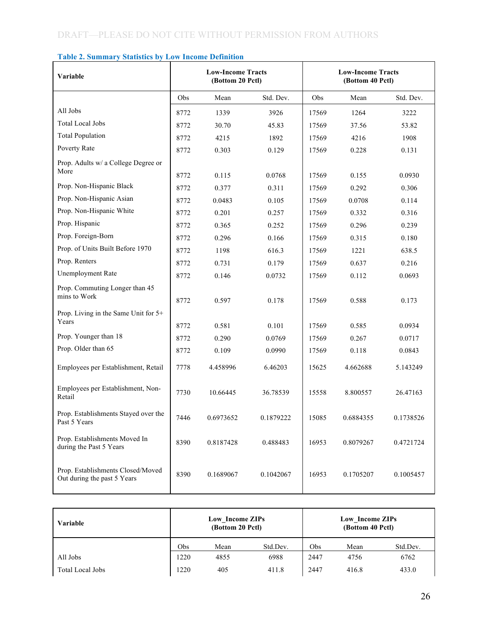| Variable                                                         |      | <b>Low-Income Tracts</b><br>(Bottom 20 Pctl) |           |       | <b>Low-Income Tracts</b><br>(Bottom 40 Pctl) |           |
|------------------------------------------------------------------|------|----------------------------------------------|-----------|-------|----------------------------------------------|-----------|
|                                                                  | Obs  | Mean                                         | Std. Dev. | Obs   | Mean                                         | Std. Dev. |
| All Jobs                                                         | 8772 | 1339                                         | 3926      | 17569 | 1264                                         | 3222      |
| <b>Total Local Jobs</b>                                          | 8772 | 30.70                                        | 45.83     | 17569 | 37.56                                        | 53.82     |
| <b>Total Population</b>                                          | 8772 | 4215                                         | 1892      | 17569 | 4216                                         | 1908      |
| Poverty Rate                                                     | 8772 | 0.303                                        | 0.129     | 17569 | 0.228                                        | 0.131     |
| Prop. Adults w/ a College Degree or                              |      |                                              |           |       |                                              |           |
| More                                                             | 8772 | 0.115                                        | 0.0768    | 17569 | 0.155                                        | 0.0930    |
| Prop. Non-Hispanic Black                                         | 8772 | 0.377                                        | 0.311     | 17569 | 0.292                                        | 0.306     |
| Prop. Non-Hispanic Asian                                         | 8772 | 0.0483                                       | 0.105     | 17569 | 0.0708                                       | 0.114     |
| Prop. Non-Hispanic White                                         | 8772 | 0.201                                        | 0.257     | 17569 | 0.332                                        | 0.316     |
| Prop. Hispanic                                                   | 8772 | 0.365                                        | 0.252     | 17569 | 0.296                                        | 0.239     |
| Prop. Foreign-Born                                               | 8772 | 0.296                                        | 0.166     | 17569 | 0.315                                        | 0.180     |
| Prop. of Units Built Before 1970                                 | 8772 | 1198                                         | 616.3     | 17569 | 1221                                         | 638.5     |
| Prop. Renters                                                    | 8772 | 0.731                                        | 0.179     | 17569 | 0.637                                        | 0.216     |
| Unemployment Rate                                                | 8772 | 0.146                                        | 0.0732    | 17569 | 0.112                                        | 0.0693    |
| Prop. Commuting Longer than 45                                   |      |                                              |           |       |                                              |           |
| mins to Work                                                     | 8772 | 0.597                                        | 0.178     | 17569 | 0.588                                        | 0.173     |
| Prop. Living in the Same Unit for 5+                             |      |                                              |           |       |                                              |           |
| Years                                                            | 8772 | 0.581                                        | 0.101     | 17569 | 0.585                                        | 0.0934    |
| Prop. Younger than 18                                            | 8772 | 0.290                                        | 0.0769    | 17569 | 0.267                                        | 0.0717    |
| Prop. Older than 65                                              | 8772 | 0.109                                        | 0.0990    | 17569 | 0.118                                        | 0.0843    |
| Employees per Establishment, Retail                              | 7778 | 4.458996                                     | 6.46203   | 15625 | 4.662688                                     | 5.143249  |
| Employees per Establishment, Non-<br>Retail                      | 7730 | 10.66445                                     | 36.78539  | 15558 | 8.800557                                     | 26.47163  |
| Prop. Establishments Stayed over the<br>Past 5 Years             | 7446 | 0.6973652                                    | 0.1879222 | 15085 | 0.6884355                                    | 0.1738526 |
| Prop. Establishments Moved In<br>during the Past 5 Years         | 8390 | 0.8187428                                    | 0.488483  | 16953 | 0.8079267                                    | 0.4721724 |
| Prop. Establishments Closed/Moved<br>Out during the past 5 Years | 8390 | 0.1689067                                    | 0.1042067 | 16953 | 0.1705207                                    | 0.1005457 |

## **Table 2. Summary Statistics by Low Income Definition**

| Variable         |      | Low Income ZIPs<br>(Bottom 20 Pctl) |          | Low Income ZIPs<br>(Bottom 40 Pctl) |       |          |  |
|------------------|------|-------------------------------------|----------|-------------------------------------|-------|----------|--|
|                  | Obs  | Mean                                | Std.Dev. | Obs                                 | Mean  | Std.Dev. |  |
| All Jobs         | 1220 | 4855                                | 6988     | 2447                                | 4756  | 6762     |  |
| Total Local Jobs | 1220 | 405                                 | 411.8    | 2447                                | 416.8 | 433.0    |  |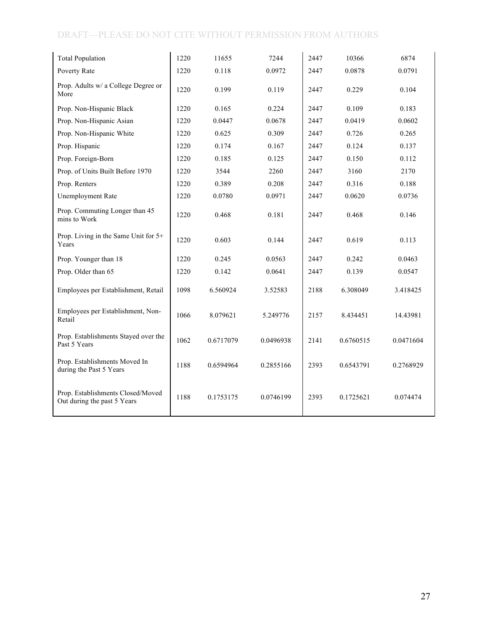| <b>Total Population</b>                                          | 1220 | 11655     | 7244      | 2447 | 10366     | 6874      |
|------------------------------------------------------------------|------|-----------|-----------|------|-----------|-----------|
| Poverty Rate                                                     | 1220 | 0.118     | 0.0972    | 2447 | 0.0878    | 0.0791    |
| Prop. Adults w/ a College Degree or<br>More                      | 1220 | 0.199     | 0.119     | 2447 | 0.229     | 0.104     |
| Prop. Non-Hispanic Black                                         | 1220 | 0.165     | 0.224     | 2447 | 0.109     | 0.183     |
| Prop. Non-Hispanic Asian                                         | 1220 | 0.0447    | 0.0678    | 2447 | 0.0419    | 0.0602    |
| Prop. Non-Hispanic White                                         | 1220 | 0.625     | 0.309     | 2447 | 0.726     | 0.265     |
| Prop. Hispanic                                                   | 1220 | 0.174     | 0.167     | 2447 | 0.124     | 0.137     |
| Prop. Foreign-Born                                               | 1220 | 0.185     | 0.125     | 2447 | 0.150     | 0.112     |
| Prop. of Units Built Before 1970                                 | 1220 | 3544      | 2260      | 2447 | 3160      | 2170      |
| Prop. Renters                                                    | 1220 | 0.389     | 0.208     | 2447 | 0.316     | 0.188     |
| Unemployment Rate                                                | 1220 | 0.0780    | 0.0971    | 2447 | 0.0620    | 0.0736    |
| Prop. Commuting Longer than 45<br>mins to Work                   | 1220 | 0.468     | 0.181     | 2447 | 0.468     | 0.146     |
| Prop. Living in the Same Unit for 5+<br>Years                    | 1220 | 0.603     | 0.144     | 2447 | 0.619     | 0.113     |
| Prop. Younger than 18                                            | 1220 | 0.245     | 0.0563    | 2447 | 0.242     | 0.0463    |
| Prop. Older than 65                                              | 1220 | 0.142     | 0.0641    | 2447 | 0.139     | 0.0547    |
| Employees per Establishment, Retail                              | 1098 | 6.560924  | 3.52583   | 2188 | 6.308049  | 3.418425  |
| Employees per Establishment, Non-<br>Retail                      | 1066 | 8.079621  | 5.249776  | 2157 | 8.434451  | 14.43981  |
| Prop. Establishments Stayed over the<br>Past 5 Years             | 1062 | 0.6717079 | 0.0496938 | 2141 | 0.6760515 | 0.0471604 |
| Prop. Establishments Moved In<br>during the Past 5 Years         | 1188 | 0.6594964 | 0.2855166 | 2393 | 0.6543791 | 0.2768929 |
| Prop. Establishments Closed/Moved<br>Out during the past 5 Years | 1188 | 0.1753175 | 0.0746199 | 2393 | 0.1725621 | 0.074474  |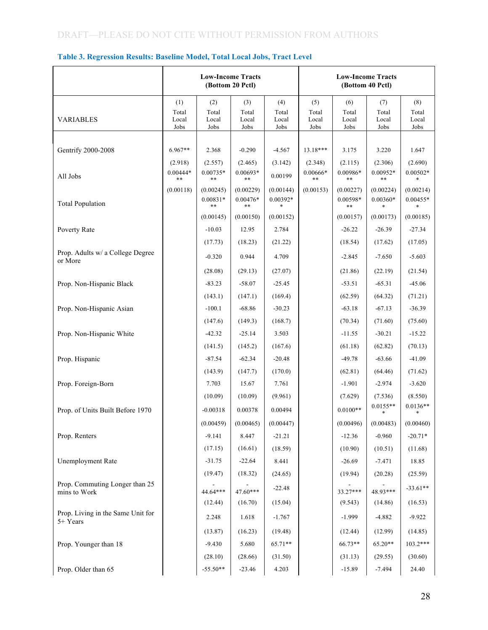#### **Table 3. Regression Results: Baseline Model, Total Local Jobs, Tract Level**

|                                                | <b>Low-Income Tracts</b><br>(Bottom 20 Pctl) |                                |                                | <b>Low-Income Tracts</b><br>(Bottom 40 Pctl) |                                |                               |                               |                               |
|------------------------------------------------|----------------------------------------------|--------------------------------|--------------------------------|----------------------------------------------|--------------------------------|-------------------------------|-------------------------------|-------------------------------|
| <b>VARIABLES</b>                               | (1)<br>Total<br>Local<br>Jobs                | (2)<br>Total<br>Local<br>Jobs  | (3)<br>Total<br>Local<br>Jobs  | (4)<br>Total<br>Local<br>Jobs                | (5)<br>Total<br>Local<br>Jobs  | (6)<br>Total<br>Local<br>Jobs | (7)<br>Total<br>Local<br>Jobs | (8)<br>Total<br>Local<br>Jobs |
| Gentrify 2000-2008                             | $6.967**$                                    | 2.368                          | $-0.290$                       | $-4.567$                                     | 13.18***                       | 3.175                         | 3.220                         | 1.647                         |
| All Jobs                                       | (2.918)<br>$0.00444*$<br>$***$               | (2.557)<br>$0.00735*$<br>$***$ | (2.465)<br>$0.00693*$<br>$***$ | (3.142)<br>0.00199                           | (2.348)<br>$0.00666*$<br>$***$ | (2.115)<br>0.00986*<br>$***$  | (2.306)<br>0.00952*<br>$***$  | (2.690)<br>$0.00502*$         |
|                                                | (0.00118)                                    | (0.00245)<br>$0.00831*$        | (0.00229)<br>$0.00476*$        | (0.00144)<br>$0.00392*$                      | (0.00153)                      | (0.00227)<br>0.00598*         | (0.00224)<br>$0.00360*$       | (0.00214)<br>$0.00455*$       |
| <b>Total Population</b>                        |                                              | **<br>(0.00145)                | **<br>(0.00150)                | (0.00152)                                    |                                | $***$<br>(0.00157)            | (0.00173)                     | (0.00185)                     |
| Poverty Rate                                   |                                              | $-10.03$<br>(17.73)            | 12.95<br>(18.23)               | 2.784<br>(21.22)                             |                                | $-26.22$<br>(18.54)           | $-26.39$<br>(17.62)           | $-27.34$<br>(17.05)           |
| Prop. Adults w/ a College Degree<br>or More    |                                              | $-0.320$                       | 0.944                          | 4.709                                        |                                | $-2.845$                      | $-7.650$                      | $-5.603$                      |
| Prop. Non-Hispanic Black                       |                                              | (28.08)<br>$-83.23$            | (29.13)<br>$-58.07$            | (27.07)<br>$-25.45$                          |                                | (21.86)<br>$-53.51$           | (22.19)<br>$-65.31$           | (21.54)<br>$-45.06$           |
|                                                |                                              | (143.1)                        | (147.1)                        | (169.4)                                      |                                | (62.59)                       | (64.32)                       | (71.21)                       |
| Prop. Non-Hispanic Asian                       |                                              | $-100.1$<br>(147.6)            | $-68.86$<br>(149.3)            | $-30.23$<br>(168.7)                          |                                | $-63.18$<br>(70.34)           | $-67.13$<br>(71.60)           | $-36.39$<br>(75.60)           |
| Prop. Non-Hispanic White                       |                                              | $-42.32$<br>(141.5)            | $-25.14$<br>(145.2)            | 3.503<br>(167.6)                             |                                | $-11.55$<br>(61.18)           | $-30.21$<br>(62.82)           | $-15.22$<br>(70.13)           |
| Prop. Hispanic                                 |                                              | $-87.54$                       | $-62.34$                       | $-20.48$                                     |                                | $-49.78$                      | $-63.66$                      | $-41.09$                      |
| Prop. Foreign-Born                             |                                              | (143.9)<br>7.703               | (147.7)<br>15.67               | (170.0)<br>7.761                             |                                | (62.81)<br>$-1.901$           | (64.46)<br>$-2.974$           | (71.62)<br>$-3.620$           |
| Prop. of Units Built Before 1970               |                                              | (10.09)<br>$-0.00318$          | (10.09)<br>0.00378             | (9.961)<br>0.00494                           |                                | (7.629)<br>$0.0100**$         | (7.536)<br>$0.0155**$         | (8.550)<br>$0.0136**$         |
|                                                |                                              | (0.00459)                      | (0.00465)                      | (0.00447)                                    |                                | (0.00496)                     | (0.00483)                     | $\ast$<br>(0.00460)           |
| Prop. Renters                                  |                                              | $-9.141$<br>(17.15)            | 8.447<br>(16.61)               | $-21.21$<br>(18.59)                          |                                | $-12.36$<br>(10.90)           | $-0.960$<br>(10.51)           | $-20.71*$<br>(11.68)          |
| <b>Unemployment Rate</b>                       |                                              | $-31.75$                       | $-22.64$                       | 8.441                                        |                                | $-26.69$                      | $-7.471$                      | 18.85                         |
| Prop. Commuting Longer than 25<br>mins to Work |                                              | (19.47)<br>44.64***            | (18.32)<br>47.60***            | (24.65)<br>$-22.48$                          |                                | (19.94)<br>33.27***           | (20.28)<br>48.93***           | (25.59)<br>$-33.61**$         |
| Prop. Living in the Same Unit for              |                                              | (12.44)                        | (16.70)                        | (15.04)                                      |                                | (9.543)                       | (14.86)                       | (16.53)                       |
| 5+ Years                                       |                                              | 2.248<br>(13.87)               | 1.618<br>(16.23)               | $-1.767$<br>(19.48)                          |                                | $-1.999$<br>(12.44)           | $-4.882$<br>(12.99)           | $-9.922$<br>(14.85)           |
| Prop. Younger than 18                          |                                              | $-9.430$                       | 5.680                          | 65.71**                                      |                                | 66.73**                       | 65.20**                       | $103.2***$                    |
| Prop. Older than 65                            |                                              | (28.10)<br>$-55.50**$          | (28.66)<br>$-23.46$            | (31.50)<br>4.203                             |                                | (31.13)<br>$-15.89$           | (29.55)<br>$-7.494$           | (30.60)<br>24.40              |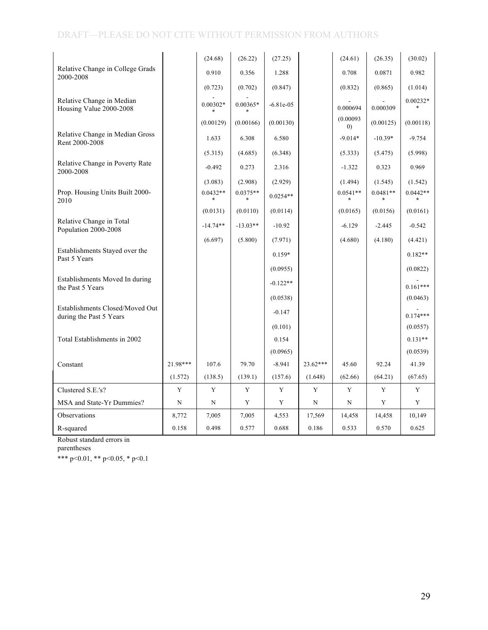|                                                            |             | (24.68)    | (26.22)    | (27.25)      |             | (24.61)          | (26.35)    | (30.02)    |
|------------------------------------------------------------|-------------|------------|------------|--------------|-------------|------------------|------------|------------|
| Relative Change in College Grads<br>2000-2008              |             | 0.910      | 0.356      | 1.288        |             | 0.708            | 0.0871     | 0.982      |
|                                                            |             | (0.723)    | (0.702)    | (0.847)      |             | (0.832)          | (0.865)    | (1.014)    |
| Relative Change in Median<br>Housing Value 2000-2008       |             | $0.00302*$ | $0.00365*$ | $-6.81e-0.5$ |             | 0.000694         | 0.000309   | $0.00232*$ |
|                                                            |             | (0.00129)  | (0.00166)  | (0.00130)    |             | (0.00093)<br>(0) | (0.00125)  | (0.00118)  |
| Relative Change in Median Gross<br>Rent 2000-2008          |             | 1.633      | 6.308      | 6.580        |             | $-9.014*$        | $-10.39*$  | $-9.754$   |
|                                                            |             | (5.315)    | (4.685)    | (6.348)      |             | (5.333)          | (5.475)    | (5.998)    |
| Relative Change in Poverty Rate<br>2000-2008               |             | $-0.492$   | 0.273      | 2.316        |             | $-1.322$         | 0.323      | 0.969      |
|                                                            |             | (3.083)    | (2.908)    | (2.929)      |             | (1.494)          | (1.545)    | (1.542)    |
| Prop. Housing Units Built 2000-<br>2010                    |             | $0.0432**$ | $0.0375**$ | $0.0254**$   |             | $0.0541**$       | $0.0481**$ | $0.0442**$ |
|                                                            |             | (0.0131)   | (0.0110)   | (0.0114)     |             | (0.0165)         | (0.0156)   | (0.0161)   |
| Relative Change in Total<br>Population 2000-2008           |             | $-14.74**$ | $-13.03**$ | $-10.92$     |             | $-6.129$         | $-2.445$   | $-0.542$   |
|                                                            |             | (6.697)    | (5.800)    | (7.971)      |             | (4.680)          | (4.180)    | (4.421)    |
| Establishments Stayed over the<br>Past 5 Years             |             |            |            | $0.159*$     |             |                  |            | $0.182**$  |
|                                                            |             |            |            | (0.0955)     |             |                  |            | (0.0822)   |
| Establishments Moved In during<br>the Past 5 Years         |             |            |            | $-0.122**$   |             |                  |            | $0.161***$ |
|                                                            |             |            |            | (0.0538)     |             |                  |            | (0.0463)   |
| Establishments Closed/Moved Out<br>during the Past 5 Years |             |            |            | $-0.147$     |             |                  |            | $0.174***$ |
|                                                            |             |            |            | (0.101)      |             |                  |            | (0.0557)   |
| Total Establishments in 2002                               |             |            |            | 0.154        |             |                  |            | $0.131**$  |
|                                                            |             |            |            | (0.0965)     |             |                  |            | (0.0539)   |
| Constant                                                   | 21.98***    | 107.6      | 79.70      | $-8.941$     | $23.62***$  | 45.60            | 92.24      | 41.39      |
|                                                            | (1.572)     | (138.5)    | (139.1)    | (157.6)      | (1.648)     | (62.66)          | (64.21)    | (67.65)    |
| Clustered S.E.'s?                                          | Y           | Y          | Y          | Y            | Y           | Y                | Y          | Y          |
| MSA and State-Yr Dummies?                                  | $\mathbf N$ | N          | Y          | Y            | $\mathbf N$ | N                | Y          | Y          |
| Observations                                               | 8,772       | 7,005      | 7,005      | 4,553        | 17,569      | 14,458           | 14,458     | 10,149     |
| R-squared                                                  | 0.158       | 0.498      | 0.577      | 0.688        | 0.186       | 0.533            | 0.570      | 0.625      |

Robust standard errors in

parentheses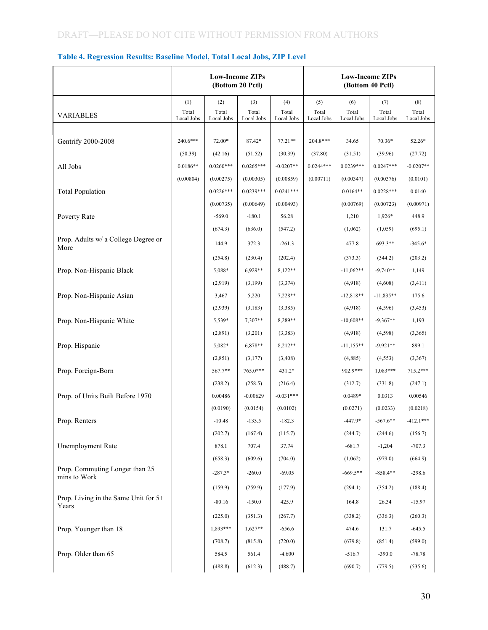| Table 4. Regression Results: Baseline Model, Total Local Jobs, ZIP Level |  |  |  |  |
|--------------------------------------------------------------------------|--|--|--|--|
|                                                                          |  |  |  |  |

|                                                |                     | <b>Low-Income ZIPs</b> | (Bottom 20 Pctl)    |                     |                     |                     | <b>Low-Income ZIPs</b><br>(Bottom 40 Pctl) |                     |
|------------------------------------------------|---------------------|------------------------|---------------------|---------------------|---------------------|---------------------|--------------------------------------------|---------------------|
|                                                | (1)                 | (2)                    | (3)                 | (4)                 | (5)                 | (6)                 | (7)                                        | (8)                 |
| <b>VARIABLES</b>                               | Total<br>Local Jobs | Total<br>Local Jobs    | Total<br>Local Jobs | Total<br>Local Jobs | Total<br>Local Jobs | Total<br>Local Jobs | Total<br>Local Jobs                        | Total<br>Local Jobs |
|                                                |                     |                        |                     |                     |                     |                     |                                            |                     |
| Gentrify 2000-2008                             | 240.6***            | 72.00*                 | 87.42*              | $77.21**$           | $204.8***$          | 34.65               | 70.36*                                     | 52.26*              |
|                                                | (50.39)             | (42.16)                | (51.52)             | (30.39)             | (37.80)             | (31.51)             | (39.96)                                    | (27.72)             |
| All Jobs                                       | $0.0186**$          | $0.0260***$            | $0.0265***$         | $-0.0207**$         | $0.0244***$         | $0.0239***$         | $0.0247***$                                | $-0.0207**$         |
|                                                | (0.00804)           | (0.00275)              | (0.00305)           | (0.00859)           | (0.00711)           | (0.00347)           | (0.00376)                                  | (0.0101)            |
| <b>Total Population</b>                        |                     | $0.0226***$            | $0.0239***$         | $0.0241***$         |                     | $0.0164**$          | $0.0228***$                                | 0.0140              |
|                                                |                     | (0.00735)              | (0.00649)           | (0.00493)           |                     | (0.00769)           | (0.00723)                                  | (0.00971)           |
| Poverty Rate                                   |                     | $-569.0$               | $-180.1$            | 56.28               |                     | 1,210               | 1,926*                                     | 448.9               |
|                                                |                     | (674.3)                | (636.0)             | (547.2)             |                     | (1,062)             | (1,059)                                    | (695.1)             |
| Prop. Adults w/ a College Degree or<br>More    |                     | 144.9                  | 372.3               | $-261.3$            |                     | 477.8               | 693.3**                                    | $-345.6*$           |
|                                                |                     | (254.8)                | (230.4)             | (202.4)             |                     | (373.3)             | (344.2)                                    | (203.2)             |
| Prop. Non-Hispanic Black                       |                     | 5,088*                 | 6,929**             | 8,122**             |                     | $-11,062**$         | $-9,740**$                                 | 1,149               |
|                                                |                     | (2,919)                | (3,199)             | (3, 374)            |                     | (4,918)             | (4,608)                                    | (3, 411)            |
| Prop. Non-Hispanic Asian                       |                     | 3,467                  | 5,220               | 7,228**             |                     | $-12,818**$         | $-11,835**$                                | 175.6               |
|                                                |                     | (2,939)                | (3, 183)            | (3,385)             |                     | (4,918)             | (4,596)                                    | (3, 453)            |
| Prop. Non-Hispanic White                       |                     | 5,539*                 | 7,307**             | 8,289**             |                     | $-10,608**$         | $-9,367**$                                 | 1,193               |
|                                                |                     | (2,891)                | (3,201)             | (3,383)             |                     | (4,918)             | (4,598)                                    | (3,365)             |
| Prop. Hispanic                                 |                     | 5,082*                 | 6,878**             | 8,212**             |                     | $-11,155**$         | $-9,921**$                                 | 899.1               |
|                                                |                     | (2, 851)               | (3,177)             | (3, 408)            |                     | (4,885)             | (4, 553)                                   | (3, 367)            |
| Prop. Foreign-Born                             |                     | 567.7**                | 765.0***            | 431.2*              |                     | 902.9***            | $1,083***$                                 | 715.2***            |
|                                                |                     | (238.2)                | (258.5)             | (216.4)             |                     | (312.7)             | (331.8)                                    | (247.1)             |
| Prop. of Units Built Before 1970               |                     | 0.00486                | $-0.00629$          | $-0.031***$         |                     | 0.0489*             | 0.0313                                     | 0.00546             |
|                                                |                     | (0.0190)               | (0.0154)            | (0.0102)            |                     | (0.0271)            | (0.0233)                                   | (0.0218)            |
| Prop. Renters                                  |                     | $-10.48$               | $-133.5$            | $-182.3$            |                     | -447.9*             | $-567.6**$                                 | $-412.1***$         |
|                                                |                     | (202.7)                | (167.4)             | (115.7)             |                     | (244.7)             | (244.6)                                    | (156.7)             |
| Unemployment Rate                              |                     | 878.1                  | 707.4               | 37.74               |                     | $-681.7$            | $-1,204$                                   | $-707.3$            |
|                                                |                     | (658.3)                | (609.6)             | (704.0)             |                     | (1,062)             | (979.0)                                    | (664.9)             |
| Prop. Commuting Longer than 25<br>mins to Work |                     | $-287.3*$              | $-260.0$            | $-69.05$            |                     | $-669.5**$          | $-858.4**$                                 | $-298.6$            |
|                                                |                     | (159.9)                | (259.9)             | (177.9)             |                     | (294.1)             | (354.2)                                    | (188.4)             |
| Prop. Living in the Same Unit for 5+<br>Years  |                     | $-80.16$               | $-150.0$            | 425.9               |                     | 164.8               | 26.34                                      | $-15.97$            |
|                                                |                     | (225.0)                | (351.3)             | (267.7)             |                     | (338.2)             | (336.3)                                    | (260.3)             |
| Prop. Younger than 18                          |                     | 1,893***               | $1,627**$           | $-656.6$            |                     | 474.6               | 131.7                                      | $-645.5$            |
|                                                |                     | (708.7)                | (815.8)             | (720.0)             |                     | (679.8)             | (851.4)                                    | (599.0)             |
| Prop. Older than 65                            |                     | 584.5                  | 561.4               | $-4.600$            |                     | $-516.7$            | $-390.0$                                   | $-78.78$            |
|                                                |                     | (488.8)                | (612.3)             | (488.7)             |                     | (690.7)             | (779.5)                                    | (535.6)             |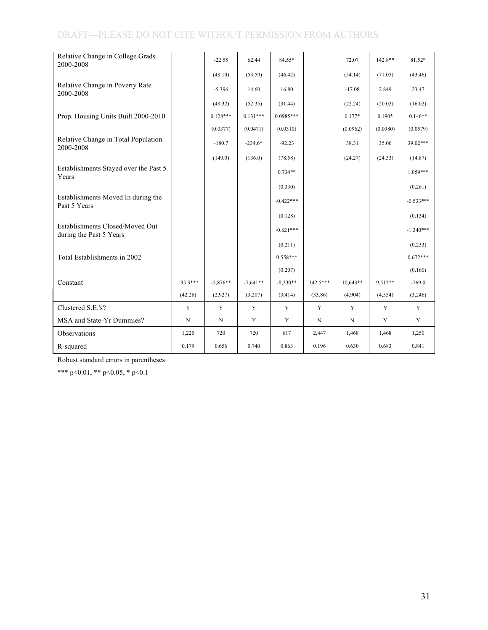| Relative Change in College Grads<br>2000-2008              |             | $-22.55$    | 62.44      | 84.55*      |             | 72.07       | $142.8**$ | 81.52*      |
|------------------------------------------------------------|-------------|-------------|------------|-------------|-------------|-------------|-----------|-------------|
|                                                            |             | (48.10)     | (53.59)    | (46.42)     |             | (54.14)     | (71.05)   | (43.46)     |
| Relative Change in Poverty Rate<br>2000-2008               |             | $-5.396$    | 14.60      | 16.80       |             | $-17.08$    | 2.849     | 23.47       |
|                                                            |             | (48.32)     | (52.35)    | (31.44)     |             | (22.24)     | (20.02)   | (16.02)     |
| Prop. Housing Units Built 2000-2010                        |             | $0.128***$  | $0.131***$ | $0.0985***$ |             | $0.177*$    | $0.190*$  | $0.146**$   |
|                                                            |             | (0.0377)    | (0.0471)   | (0.0310)    |             | (0.0962)    | (0.0980)  | (0.0579)    |
| Relative Change in Total Population<br>2000-2008           |             | $-180.7$    | $-234.6*$  | $-92.23$    |             | 38.31       | 35.06     | 39.02***    |
|                                                            |             | (149.0)     | (136.0)    | (78.58)     |             | (24.27)     | (24.33)   | (14.87)     |
| Establishments Stayed over the Past 5<br>Years             |             |             |            | $0.734**$   |             |             |           | $1.059***$  |
|                                                            |             |             |            | (0.330)     |             |             |           | (0.261)     |
| Establishments Moved In during the<br>Past 5 Years         |             |             |            | $-0.422***$ |             |             |           | $-0.533***$ |
|                                                            |             |             |            | (0.128)     |             |             |           | (0.134)     |
| Establishments Closed/Moved Out<br>during the Past 5 Years |             |             |            | $-0.621***$ |             |             |           | $-1.340***$ |
|                                                            |             |             |            | (0.211)     |             |             |           | (0.233)     |
| Total Establishments in 2002                               |             |             |            | $0.558***$  |             |             |           | $0.672***$  |
|                                                            |             |             |            | (0.207)     |             |             |           | (0.160)     |
| Constant                                                   | 135.3***    | $-5,876**$  | $-7,641**$ | $-8,230**$  | $142.5***$  | $10,643**$  | 9,512**   | $-769.0$    |
|                                                            | (42.26)     | (2,927)     | (3,207)    | (3, 414)    | (33.86)     | (4,904)     | (4, 554)  | (3,246)     |
| Clustered S.E.'s?                                          | $\mathbf Y$ | Y           | Y          | Y           | $\mathbf Y$ | Y           | Y         | Y           |
| MSA and State-Yr Dummies?                                  | $\mathbf N$ | $\mathbf N$ | Y          | Y           | $\mathbf N$ | $\mathbf N$ | Y         | Y           |
| Observations                                               | 1,220       | 720         | 720        | 617         | 2,447       | 1,468       | 1,468     | 1,250       |
| R-squared                                                  | 0.179       | 0.656       | 0.740      | 0.863       | 0.196       | 0.630       | 0.683     | 0.841       |

Robust standard errors in parentheses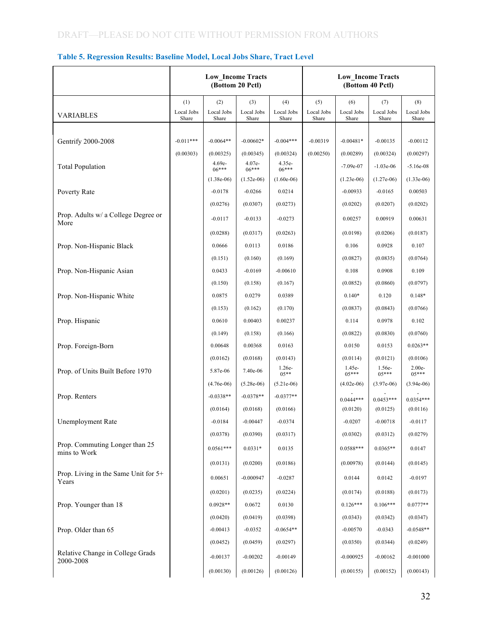|                                                |                            |                                                | <b>Low_Income Tracts</b><br>(Bottom 20 Pctl)   |                                                  |                            |                                          | <b>Low_Income Tracts</b><br>(Bottom 40 Pctl) |                                          |
|------------------------------------------------|----------------------------|------------------------------------------------|------------------------------------------------|--------------------------------------------------|----------------------------|------------------------------------------|----------------------------------------------|------------------------------------------|
| <b>VARIABLES</b>                               | (1)<br>Local Jobs<br>Share | (2)<br>Local Jobs<br>Share                     | (3)<br>Local Jobs<br>Share                     | (4)<br>Local Jobs<br>Share                       | (5)<br>Local Jobs<br>Share | (6)<br>Local Jobs<br>Share               | (7)<br>Local Jobs<br>Share                   | (8)<br>Local Jobs<br>Share               |
| Gentrify 2000-2008                             | $-0.011***$                | $-0.0064**$                                    | $-0.00602*$                                    | $-0.004***$                                      | $-0.00319$                 | $-0.00481*$                              | $-0.00135$                                   | $-0.00112$                               |
| <b>Total Population</b>                        | (0.00303)                  | (0.00325)<br>4.69e-<br>$06***$<br>$(1.38e-06)$ | (0.00345)<br>4.07e-<br>$06***$<br>$(1.52e-06)$ | (0.00324)<br>$4.35e-$<br>$06***$<br>$(1.60e-06)$ | (0.00250)                  | (0.00289)<br>$-7.09e-07$<br>$(1.23e-06)$ | (0.00324)<br>$-1.03e-06$<br>$(1.27e-06)$     | (0.00297)<br>$-5.16e-08$<br>$(1.33e-06)$ |
| Poverty Rate                                   |                            | $-0.0178$                                      | $-0.0266$                                      | 0.0214                                           |                            | $-0.00933$                               | $-0.0165$                                    | 0.00503                                  |
| Prop. Adults w/ a College Degree or<br>More    |                            | (0.0276)<br>$-0.0117$                          | (0.0307)<br>$-0.0133$                          | (0.0273)<br>$-0.0273$                            |                            | (0.0202)<br>0.00257                      | (0.0207)<br>0.00919                          | (0.0202)<br>0.00631                      |
| Prop. Non-Hispanic Black                       |                            | (0.0288)<br>0.0666                             | (0.0317)<br>0.0113                             | (0.0263)<br>0.0186                               |                            | (0.0198)<br>0.106                        | (0.0206)<br>0.0928                           | (0.0187)<br>0.107                        |
|                                                |                            | (0.151)                                        | (0.160)                                        | (0.169)                                          |                            | (0.0827)                                 | (0.0835)                                     | (0.0764)                                 |
| Prop. Non-Hispanic Asian                       |                            | 0.0433<br>(0.150)                              | $-0.0169$<br>(0.158)                           | $-0.00610$<br>(0.167)                            |                            | 0.108<br>(0.0852)                        | 0.0908<br>(0.0860)                           | 0.109<br>(0.0797)                        |
| Prop. Non-Hispanic White                       |                            | 0.0875<br>(0.153)                              | 0.0279<br>(0.162)                              | 0.0389<br>(0.170)                                |                            | $0.140*$<br>(0.0837)                     | 0.120<br>(0.0843)                            | $0.148*$<br>(0.0766)                     |
| Prop. Hispanic                                 |                            | 0.0610<br>(0.149)                              | 0.00403<br>(0.158)                             | 0.00237<br>(0.166)                               |                            | 0.114<br>(0.0822)                        | 0.0978<br>(0.0830)                           | 0.102<br>(0.0760)                        |
| Prop. Foreign-Born                             |                            | 0.00648                                        | 0.00368                                        | 0.0163                                           |                            | 0.0150                                   | 0.0153                                       | $0.0263**$                               |
| Prop. of Units Built Before 1970               |                            | (0.0162)<br>5.87e-06                           | (0.0168)<br>7.40e-06                           | (0.0143)<br>$1.26e-$<br>$05**$                   |                            | (0.0114)<br>1.45e-<br>$05***$            | (0.0121)<br>1.56e-<br>$05***$                | (0.0106)<br>$2.00e-$<br>$05***$          |
| Prop. Renters                                  |                            | $(4.76e-06)$<br>$-0.0338**$                    | $(5.28e-06)$<br>$-0.0378**$                    | $(5.21e-06)$<br>$-0.0377**$                      |                            | $(4.02e-06)$<br>$0.0444***$              | $(3.97e-06)$<br>$0.0453***$                  | $(3.94e-06)$<br>$0.0354***$              |
| <b>Unemployment Rate</b>                       |                            | (0.0164)<br>$-0.0184$                          | (0.0168)<br>$-0.00447$                         | (0.0166)<br>$-0.0374$                            |                            | (0.0120)<br>$-0.0207$                    | (0.0125)<br>$-0.00718$                       | (0.0116)<br>$-0.0117$                    |
| Prop. Commuting Longer than 25<br>mins to Work |                            | (0.0378)<br>$0.0561***$                        | (0.0390)<br>$0.0331*$                          | (0.0317)<br>0.0135                               |                            | (0.0302)<br>$0.0588***$                  | (0.0312)<br>$0.0365**$                       | (0.0279)<br>0.0147                       |
| Prop. Living in the Same Unit for 5+           |                            | (0.0131)<br>0.00651                            | (0.0200)<br>$-0.000947$                        | (0.0186)<br>$-0.0287$                            |                            | (0.00978)<br>0.0144                      | (0.0144)<br>0.0142                           | (0.0145)<br>$-0.0197$                    |
| Years                                          |                            | (0.0201)                                       | (0.0235)                                       | (0.0224)                                         |                            | (0.0174)                                 | (0.0188)                                     | (0.0173)                                 |
| Prop. Younger than 18                          |                            | $0.0928**$<br>(0.0420)                         | 0.0672<br>(0.0419)                             | 0.0130<br>(0.0398)                               |                            | $0.126***$<br>(0.0343)                   | $0.106***$<br>(0.0342)                       | $0.0777**$<br>(0.0347)                   |
| Prop. Older than 65                            |                            | $-0.00413$<br>(0.0452)                         | $-0.0352$<br>(0.0459)                          | $-0.0654**$<br>(0.0297)                          |                            | $-0.00570$<br>(0.0350)                   | $-0.0343$<br>(0.0344)                        | $-0.0548**$<br>(0.0249)                  |
| Relative Change in College Grads<br>2000-2008  |                            | $-0.00137$                                     | $-0.00202$                                     | $-0.00149$                                       |                            | $-0.000925$                              | $-0.00162$                                   | $-0.001000$                              |
|                                                |                            | (0.00130)                                      | (0.00126)                                      | (0.00126)                                        |                            | (0.00155)                                | (0.00152)                                    | (0.00143)                                |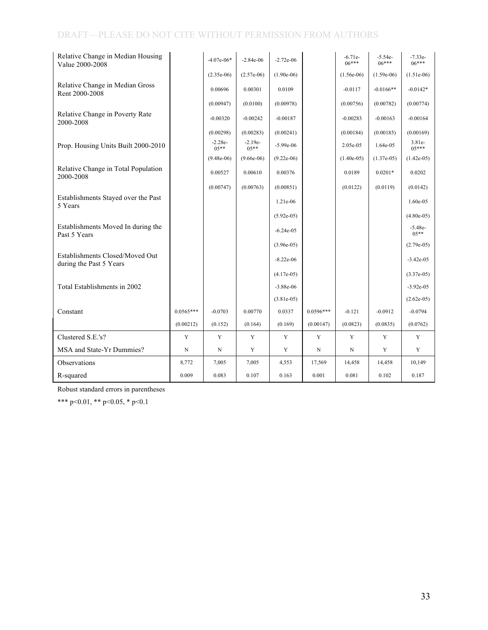| Relative Change in Median Housing<br>Value 2000-2008       |             | $-4.07e-06*$        | $-2.84e-06$          | $-2.72e-06$  |             | $-6.71e-$<br>$06***$ | $-5.54e-$<br>$06***$ | $-7.33e-$<br>$06***$ |
|------------------------------------------------------------|-------------|---------------------|----------------------|--------------|-------------|----------------------|----------------------|----------------------|
|                                                            |             | $(2.35e-06)$        | $(2.57e-06)$         | $(1.90e-06)$ |             | $(1.56e-06)$         | $(1.59e-06)$         | $(1.51e-06)$         |
| Relative Change in Median Gross<br>Rent 2000-2008          |             | 0.00696             | 0.00301              | 0.0109       |             | $-0.0117$            | $-0.0166**$          | $-0.0142*$           |
|                                                            |             | (0.00947)           | (0.0100)             | (0.00978)    |             | (0.00756)            | (0.00782)            | (0.00774)            |
| Relative Change in Poverty Rate<br>2000-2008               |             | $-0.00320$          | $-0.00242$           | $-0.00187$   |             | $-0.00283$           | $-0.00163$           | $-0.00164$           |
|                                                            |             | (0.00298)           | (0.00283)            | (0.00241)    |             | (0.00184)            | (0.00185)            | (0.00169)            |
| Prop. Housing Units Built 2000-2010                        |             | $-2.28e-$<br>$05**$ | $-2.19e-$<br>$0.5**$ | $-5.99e-06$  |             | 2.05e-05             | 1.64e-05             | $3.81e-$<br>$0.5***$ |
|                                                            |             | $(9.48e-06)$        | $(9.66e-06)$         | $(9.22e-06)$ |             | $(1.40e-05)$         | $(1.37e-05)$         | $(1.42e-05)$         |
| Relative Change in Total Population<br>2000-2008           |             | 0.00527             | 0.00610              | 0.00376      |             | 0.0189               | $0.0201*$            | 0.0202               |
|                                                            |             | (0.00747)           | (0.00763)            | (0.00851)    |             | (0.0122)             | (0.0119)             | (0.0142)             |
| Establishments Stayed over the Past<br>5 Years             |             |                     |                      | $1.21e-06$   |             |                      |                      | 1.60e-05             |
|                                                            |             |                     |                      | $(5.92e-05)$ |             |                      |                      | $(4.80e-05)$         |
| Establishments Moved In during the<br>Past 5 Years         |             |                     |                      | $-6.24e-05$  |             |                      |                      | $-5.48e-$<br>$0.5**$ |
|                                                            |             |                     |                      | $(3.96e-05)$ |             |                      |                      | $(2.79e-05)$         |
| Establishments Closed/Moved Out<br>during the Past 5 Years |             |                     |                      | $-8.22e-06$  |             |                      |                      | $-3.42e-05$          |
|                                                            |             |                     |                      | $(4.17e-05)$ |             |                      |                      | $(3.37e-05)$         |
| Total Establishments in 2002                               |             |                     |                      | $-3.88e-06$  |             |                      |                      | $-3.92e-05$          |
|                                                            |             |                     |                      | $(3.81e-05)$ |             |                      |                      | $(2.62e-05)$         |
| Constant                                                   | $0.0565***$ | $-0.0703$           | 0.00770              | 0.0337       | $0.0596***$ | $-0.121$             | $-0.0912$            | $-0.0794$            |
|                                                            | (0.00212)   | (0.152)             | (0.164)              | (0.169)      | (0.00147)   | (0.0823)             | (0.0835)             | (0.0762)             |
| Clustered S.E.'s?                                          | Y           | Y                   | Y                    | Y            | Y           | Y                    | Y                    | Y                    |
| MSA and State-Yr Dummies?                                  | N           | N                   | Y                    | Y            | N           | N                    | Y                    | Y                    |
| Observations                                               | 8,772       | 7,005               | 7,005                | 4,553        | 17,569      | 14,458               | 14,458               | 10,149               |
| R-squared                                                  | 0.009       | 0.083               | 0.107                | 0.163        | 0.001       | 0.081                | 0.102                | 0.187                |

Robust standard errors in parentheses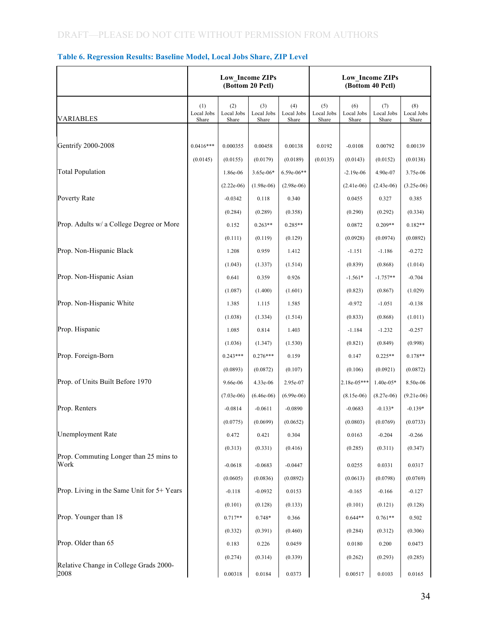|                                                | Low Income ZIPs<br>(Bottom 20 Pctl) |                                      |                                      |                                     |                            | <b>Low_Income ZIPs</b><br>(Bottom 40 Pctl) |                                         |                                      |
|------------------------------------------------|-------------------------------------|--------------------------------------|--------------------------------------|-------------------------------------|----------------------------|--------------------------------------------|-----------------------------------------|--------------------------------------|
| <b>VARIABLES</b>                               | (1)<br>Local Jobs<br>Share          | (2)<br>Local Jobs<br>Share           | (3)<br>Local Jobs<br>Share           | (4)<br>Local Jobs<br>Share          | (5)<br>Local Jobs<br>Share | (6)<br>Local Jobs<br>Share                 | (7)<br>Local Jobs<br>Share              | (8)<br>Local Jobs<br>Share           |
| <b>Gentrify 2000-2008</b>                      | $0.0416***$                         | 0.000355                             | 0.00458                              | 0.00138                             | 0.0192                     | $-0.0108$                                  | 0.00792                                 | 0.00139                              |
| <b>Total Population</b>                        | (0.0145)                            | (0.0155)<br>1.86e-06                 | (0.0179)<br>3.65e-06*                | (0.0189)<br>$6.59e-06**$            | (0.0135)                   | (0.0143)<br>$-2.19e-06$                    | (0.0152)<br>4.90e-07                    | (0.0138)<br>3.75e-06                 |
| Poverty Rate                                   |                                     | $(2.22e-06)$<br>$-0.0342$            | $(1.98e-06)$<br>0.118                | $(2.98e-06)$<br>0.340               |                            | $(2.41e-06)$<br>0.0455                     | $(2.43e-06)$<br>0.327                   | $(3.25e-06)$<br>0.385                |
| Prop. Adults w/ a College Degree or More       |                                     | (0.284)<br>0.152                     | (0.289)<br>$0.263**$                 | (0.358)<br>$0.285**$                |                            | (0.290)<br>0.0872                          | (0.292)<br>$0.209**$                    | (0.334)<br>$0.182**$                 |
| Prop. Non-Hispanic Black                       |                                     | (0.111)<br>1.208                     | (0.119)<br>0.959                     | (0.129)<br>1.412                    |                            | (0.0928)<br>$-1.151$                       | (0.0974)<br>$-1.186$                    | (0.0892)<br>$-0.272$                 |
| Prop. Non-Hispanic Asian                       |                                     | (1.043)<br>0.641                     | (1.337)<br>0.359                     | (1.514)<br>0.926                    |                            | (0.839)<br>$-1.561*$                       | (0.868)<br>$-1.757**$                   | (1.014)<br>$-0.704$                  |
| Prop. Non-Hispanic White                       |                                     | (1.087)<br>1.385                     | (1.400)<br>1.115                     | (1.601)<br>1.585                    |                            | (0.823)<br>$-0.972$                        | (0.867)<br>$-1.051$                     | (1.029)<br>$-0.138$                  |
| Prop. Hispanic                                 |                                     | (1.038)<br>1.085                     | (1.334)<br>0.814                     | (1.514)<br>1.403                    |                            | (0.833)<br>$-1.184$                        | (0.868)<br>$-1.232$                     | (1.011)<br>$-0.257$                  |
| Prop. Foreign-Born                             |                                     | (1.036)<br>$0.243***$                | (1.347)<br>$0.276***$                | (1.530)<br>0.159                    |                            | (0.821)<br>0.147                           | (0.849)<br>$0.225**$                    | (0.998)<br>$0.178**$                 |
| Prop. of Units Built Before 1970               |                                     | (0.0893)<br>9.66e-06<br>$(7.03e-06)$ | (0.0872)<br>4.33e-06<br>$(6.46e-06)$ | (0.107)<br>2.95e-07<br>$(6.99e-06)$ |                            | (0.106)<br>2.18e-05***<br>$(8.15e-06)$     | (0.0921)<br>$1.40e-05*$<br>$(8.27e-06)$ | (0.0872)<br>8.50e-06<br>$(9.21e-06)$ |
| Prop. Renters                                  |                                     | $-0.0814$<br>(0.0775)                | $-0.0611$<br>(0.0699)                | $-0.0890$<br>(0.0652)               |                            | $-0.0683$<br>(0.0803)                      | $-0.133*$<br>(0.0769)                   | $-0.139*$<br>(0.0733)                |
| <b>Unemployment Rate</b>                       |                                     | 0.472<br>(0.313)                     | 0.421<br>(0.331)                     | 0.304<br>(0.416)                    |                            | 0.0163<br>(0.285)                          | $-0.204$<br>(0.311)                     | $-0.266$<br>(0.347)                  |
| Prop. Commuting Longer than 25 mins to<br>Work |                                     | $-0.0618$                            | $-0.0683$                            | $-0.0447$                           |                            | 0.0255                                     | 0.0331                                  | 0.0317                               |
| Prop. Living in the Same Unit for 5+ Years     |                                     | (0.0605)<br>$-0.118$                 | (0.0836)<br>$-0.0932$                | (0.0892)<br>0.0153                  |                            | (0.0613)<br>$-0.165$                       | (0.0798)<br>$-0.166$                    | (0.0769)<br>$-0.127$                 |
| Prop. Younger than 18                          |                                     | (0.101)<br>$0.717**$                 | (0.128)<br>0.748*                    | (0.133)<br>0.366                    |                            | (0.101)<br>$0.644**$                       | (0.121)<br>$0.761**$                    | (0.128)<br>0.502                     |
| Prop. Older than 65                            |                                     | (0.332)<br>0.183                     | (0.391)<br>0.226                     | (0.460)<br>0.0459                   |                            | (0.284)<br>0.0180                          | (0.312)<br>0.200                        | (0.306)<br>0.0473                    |
| Relative Change in College Grads 2000-<br>2008 |                                     | (0.274)<br>0.00318                   | (0.314)<br>0.0184                    | (0.339)<br>0.0373                   |                            | (0.262)<br>0.00517                         | (0.293)<br>0.0103                       | (0.285)<br>0.0165                    |

#### **Table 6. Regression Results: Baseline Model, Local Jobs Share, ZIP Level**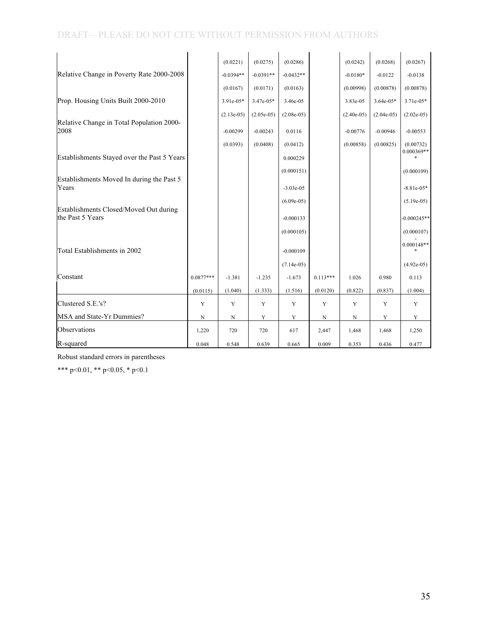|                                                            |             | (0.0221)     | (0.0275)     | (0.0286)     |             | (0.0242)     | (0.0268)     | (0.0267)                  |
|------------------------------------------------------------|-------------|--------------|--------------|--------------|-------------|--------------|--------------|---------------------------|
| Relative Change in Poverty Rate 2000-2008                  |             | $-0.0394**$  | $-0.0391**$  | $-0.0432**$  |             | $-0.0180*$   | $-0.0122$    | $-0.0138$                 |
|                                                            |             | (0.0167)     | (0.0171)     | (0.0163)     |             | (0.00998)    | (0.00878)    | (0.00878)                 |
| Prop. Housing Units Built 2000-2010                        |             | 3.91e-05*    | 3.47e-05*    | 3.46e-05     |             | 3.83e-05     | $3.64e-05*$  | 3.71e-05*                 |
|                                                            |             | $(2.13e-05)$ | $(2.05e-05)$ | $(2.08e-05)$ |             | $(2.40e-05)$ | $(2.04e-05)$ | $(2.02e-05)$              |
| Relative Change in Total Population 2000-<br>2008          |             | $-0.00299$   | $-0.00243$   | 0.0116       |             | $-0.00776$   | $-0.00946$   | $-0.00553$                |
|                                                            |             | (0.0393)     | (0.0408)     | (0.0412)     |             | (0.00858)    | (0.00825)    | (0.00732)<br>$0.000369**$ |
| Establishments Stayed over the Past 5 Years                |             |              |              | 0.000229     |             |              |              |                           |
|                                                            |             |              |              | (0.000151)   |             |              |              | (0.000109)                |
| Establishments Moved In during the Past 5<br>Years         |             |              |              | $-3.03e-05$  |             |              |              | $-8.81e-05*$              |
|                                                            |             |              |              | $(6.09e-05)$ |             |              |              | $(5.19e-05)$              |
| Establishments Closed/Moved Out during<br>the Past 5 Years |             |              |              | $-0.000133$  |             |              |              | $-0.000245**$             |
|                                                            |             |              |              | (0.000105)   |             |              |              | (0.000107)                |
| Total Establishments in 2002                               |             |              |              | $-0.000109$  |             |              |              | $0.000148**$              |
|                                                            |             |              |              | $(7.14e-05)$ |             |              |              | $(4.92e-05)$              |
| Constant                                                   | $0.0877***$ | $-1.381$     | $-1.235$     | $-1.673$     | $0.113***$  | 1.026        | 0.980        | 0.113                     |
|                                                            | (0.0115)    | (1.040)      | (1.333)      | (1.516)      | (0.0120)    | (0.822)      | (0.837)      | (1.004)                   |
| Clustered S.E.'s?                                          | Y           | Y            | $\mathbf Y$  | Y            | $\mathbf Y$ | Y            | Y            | Y                         |
| MSA and State-Yr Dummies?                                  | N           | N            | Y            | Y            | N           | N            | Y            | Y                         |
| Observations                                               | 1,220       | 720          | 720          | 617          | 2,447       | 1,468        | 1,468        | 1,250                     |
| R-squared                                                  | 0.048       | 0.548        | 0.639        | 0.665        | 0.009       | 0.353        | 0.436        | 0.477                     |

Robust standard errors in parentheses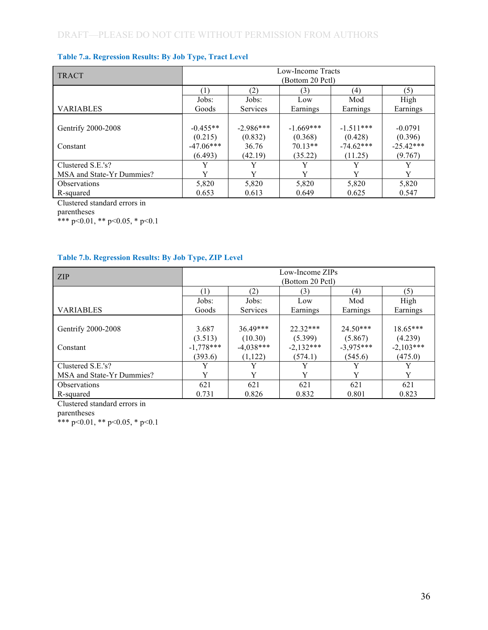|  |  | <b>Table 7.a. Regression Results: By Job Type, Tract Level</b> |
|--|--|----------------------------------------------------------------|
|  |  |                                                                |

| <b>TRACT</b>              | Low-Income Tracts<br>(Bottom 20 Pctl) |                 |             |             |             |  |  |  |
|---------------------------|---------------------------------------|-----------------|-------------|-------------|-------------|--|--|--|
|                           | (1)                                   | (2)             | (3)         | (4)         | (5)         |  |  |  |
|                           | Jobs:                                 | Jobs:           | Low         | Mod         | High        |  |  |  |
| <b>VARIABLES</b>          | Goods                                 | <b>Services</b> | Earnings    | Earnings    | Earnings    |  |  |  |
|                           |                                       |                 |             |             |             |  |  |  |
| Gentrify 2000-2008        | $-0.455**$                            | $-2.986***$     | $-1.669***$ | $-1.511***$ | $-0.0791$   |  |  |  |
|                           | (0.215)                               | (0.832)         | (0.368)     | (0.428)     | (0.396)     |  |  |  |
| Constant                  | $-47.06***$                           | 36.76           | $70.13**$   | $-74.62***$ | $-25.42***$ |  |  |  |
|                           | (6.493)                               | (42.19)         | (35.22)     | (11.25)     | (9.767)     |  |  |  |
| Clustered S.E.'s?         |                                       | Y               |             |             | Y           |  |  |  |
| MSA and State-Yr Dummies? | v                                     | v               | v           | Y           | Y           |  |  |  |
| <b>Observations</b>       | 5,820                                 | 5,820           | 5,820       | 5,820       | 5,820       |  |  |  |
| R-squared                 | 0.653                                 | 0.613           | 0.649       | 0.625       | 0.547       |  |  |  |

Clustered standard errors in

parentheses

\*\*\* p<0.01, \*\* p<0.05, \* p<0.1

#### **Table 7.b. Regression Results: By Job Type, ZIP Level**

| Low-Income ZIPs<br><b>ZIP</b> |             |             |                                                                                                                                                                                                                                                                                                                   |       |          |  |  |  |
|-------------------------------|-------------|-------------|-------------------------------------------------------------------------------------------------------------------------------------------------------------------------------------------------------------------------------------------------------------------------------------------------------------------|-------|----------|--|--|--|
|                               |             |             | (Bottom 20 Pctl)<br>(2)<br>(5)<br>(4)<br>(3)<br>High<br>Jobs:<br>Mod<br>Low<br><b>Services</b><br>Earnings<br>Earnings<br>Earnings<br>$24.50***$<br>$18.65***$<br>$22.32***$<br>(5.399)<br>(4.239)<br>(10.30)<br>(5.867)<br>$-2,103***$<br>$-2,132***$<br>$-3,975***$<br>(1,122)<br>(574.1)<br>(545.6)<br>(475.0) |       |          |  |  |  |
|                               | (1)         |             |                                                                                                                                                                                                                                                                                                                   |       |          |  |  |  |
|                               | Jobs:       |             |                                                                                                                                                                                                                                                                                                                   |       |          |  |  |  |
| <b>VARIABLES</b>              | Goods       |             |                                                                                                                                                                                                                                                                                                                   |       |          |  |  |  |
|                               |             |             |                                                                                                                                                                                                                                                                                                                   |       |          |  |  |  |
| Gentrify 2000-2008            | 3.687       | $36.49***$  |                                                                                                                                                                                                                                                                                                                   |       |          |  |  |  |
|                               | (3.513)     |             |                                                                                                                                                                                                                                                                                                                   |       |          |  |  |  |
| Constant                      | $-1,778***$ | $-4,038***$ |                                                                                                                                                                                                                                                                                                                   |       |          |  |  |  |
|                               | (393.6)     |             |                                                                                                                                                                                                                                                                                                                   |       |          |  |  |  |
| Clustered S.E.'s?             | Y           |             |                                                                                                                                                                                                                                                                                                                   |       |          |  |  |  |
| MSA and State-Yr Dummies?     | Y           | v           |                                                                                                                                                                                                                                                                                                                   | v     | $\bf{V}$ |  |  |  |
| <b>Observations</b>           | 621         | 621         | 621                                                                                                                                                                                                                                                                                                               | 621   | 621      |  |  |  |
| R-squared                     | 0.731       | 0.826       | 0.832                                                                                                                                                                                                                                                                                                             | 0.801 | 0.823    |  |  |  |

Clustered standard errors in

parentheses